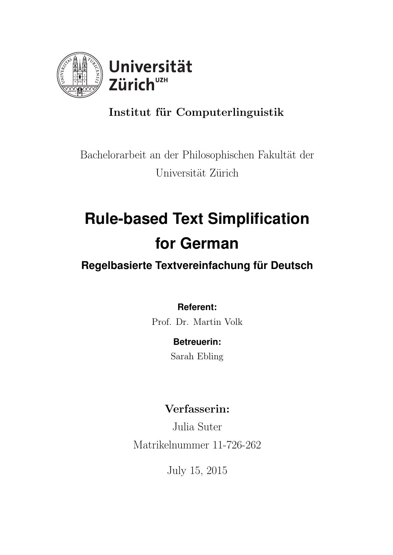

# Institut für Computerlinguistik

# Bachelorarbeit an der Philosophischen Fakultät der Universität Zürich

# **Rule-based Text Simplification for German**

# **Regelbasierte Textvereinfachung für Deutsch**

# **Referent:**

Prof. Dr. Martin Volk

# **Betreuerin:**

Sarah Ebling

# Verfasserin:

Julia Suter Matrikelnummer 11-726-262

July 15, 2015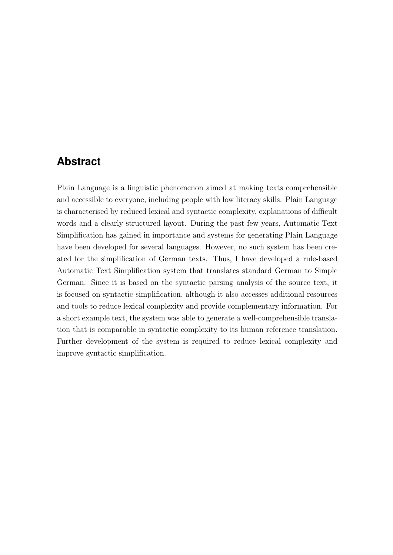## <span id="page-1-0"></span>**Abstract**

Plain Language is a linguistic phenomenon aimed at making texts comprehensible and accessible to everyone, including people with low literacy skills. Plain Language is characterised by reduced lexical and syntactic complexity, explanations of difficult words and a clearly structured layout. During the past few years, Automatic Text Simplification has gained in importance and systems for generating Plain Language have been developed for several languages. However, no such system has been created for the simplification of German texts. Thus, I have developed a rule-based Automatic Text Simplification system that translates standard German to Simple German. Since it is based on the syntactic parsing analysis of the source text, it is focused on syntactic simplification, although it also accesses additional resources and tools to reduce lexical complexity and provide complementary information. For a short example text, the system was able to generate a well-comprehensible translation that is comparable in syntactic complexity to its human reference translation. Further development of the system is required to reduce lexical complexity and improve syntactic simplification.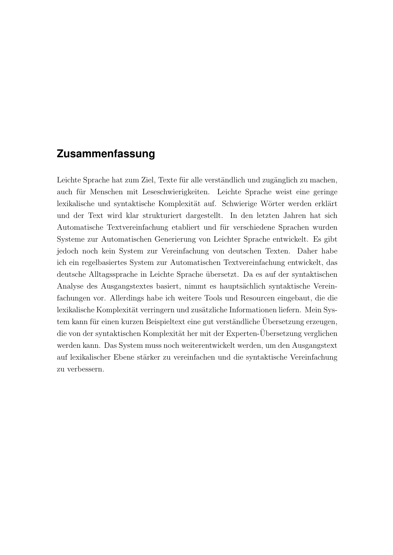## <span id="page-2-0"></span>**Zusammenfassung**

Leichte Sprache hat zum Ziel, Texte für alle verständlich und zugänglich zu machen, auch für Menschen mit Leseschwierigkeiten. Leichte Sprache weist eine geringe lexikalische und syntaktische Komplexität auf. Schwierige Wörter werden erklärt und der Text wird klar strukturiert dargestellt. In den letzten Jahren hat sich Automatische Textvereinfachung etabliert und für verschiedene Sprachen wurden Systeme zur Automatischen Generierung von Leichter Sprache entwickelt. Es gibt jedoch noch kein System zur Vereinfachung von deutschen Texten. Daher habe ich ein regelbasiertes System zur Automatischen Textvereinfachung entwickelt, das deutsche Alltagssprache in Leichte Sprache ¨ubersetzt. Da es auf der syntaktischen Analyse des Ausgangstextes basiert, nimmt es hauptsächlich syntaktische Vereinfachungen vor. Allerdings habe ich weitere Tools und Resourcen eingebaut, die die lexikalische Komplexität verringern und zusätzliche Informationen liefern. Mein System kann für einen kurzen Beispieltext eine gut verständliche Übersetzung erzeugen, die von der syntaktischen Komplexität her mit der Experten-Übersetzung verglichen werden kann. Das System muss noch weiterentwickelt werden, um den Ausgangstext auf lexikalischer Ebene stärker zu vereinfachen und die syntaktische Vereinfachung zu verbessern.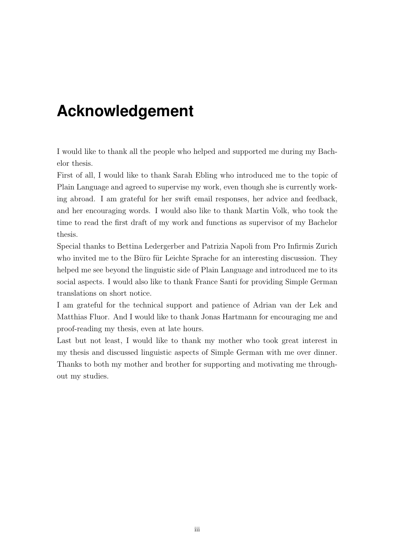# <span id="page-3-0"></span>**Acknowledgement**

I would like to thank all the people who helped and supported me during my Bachelor thesis.

First of all, I would like to thank Sarah Ebling who introduced me to the topic of Plain Language and agreed to supervise my work, even though she is currently working abroad. I am grateful for her swift email responses, her advice and feedback, and her encouraging words. I would also like to thank Martin Volk, who took the time to read the first draft of my work and functions as supervisor of my Bachelor thesis.

Special thanks to Bettina Ledergerber and Patrizia Napoli from Pro Infirmis Zurich who invited me to the Büro für Leichte Sprache for an interesting discussion. They helped me see beyond the linguistic side of Plain Language and introduced me to its social aspects. I would also like to thank France Santi for providing Simple German translations on short notice.

I am grateful for the technical support and patience of Adrian van der Lek and Matthias Fluor. And I would like to thank Jonas Hartmann for encouraging me and proof-reading my thesis, even at late hours.

Last but not least, I would like to thank my mother who took great interest in my thesis and discussed linguistic aspects of Simple German with me over dinner. Thanks to both my mother and brother for supporting and motivating me throughout my studies.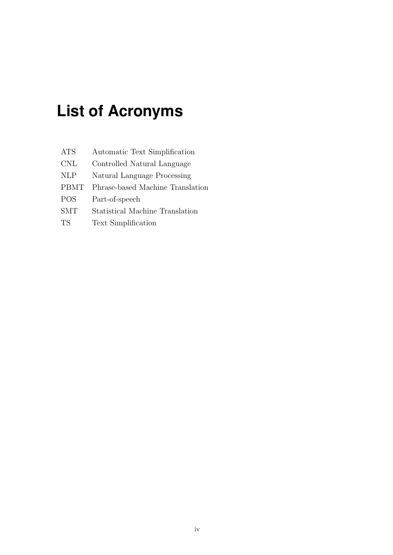# <span id="page-4-0"></span>**List of Acronyms**

| <b>ATS</b>  | Automatic Text Simplification    |
|-------------|----------------------------------|
| <b>CNL</b>  | Controlled Natural Language      |
| <b>NLP</b>  | Natural Language Processing      |
| <b>PBMT</b> | Phrase-based Machine Translation |
| <b>POS</b>  | Part-of-speech                   |
| <b>SMT</b>  | Statistical Machine Translation  |
| <b>TS</b>   | <b>Text Simplification</b>       |
|             |                                  |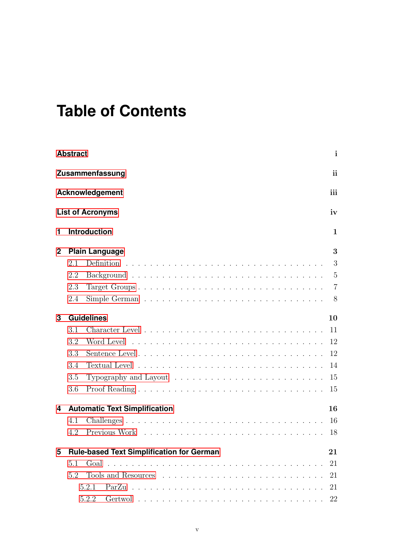# **Table of Contents**

|                                      | <b>Abstract</b>                                        |                                      | $\mathbf{i}$   |  |  |  |  |
|--------------------------------------|--------------------------------------------------------|--------------------------------------|----------------|--|--|--|--|
|                                      | ii<br>Zusammenfassung                                  |                                      |                |  |  |  |  |
|                                      | iii<br><b>Acknowledgement</b>                          |                                      |                |  |  |  |  |
|                                      |                                                        | <b>List of Acronyms</b>              | iv             |  |  |  |  |
| 1                                    |                                                        | <b>Introduction</b>                  | 1              |  |  |  |  |
| $\mathbf 2$<br><b>Plain Language</b> |                                                        |                                      | 3              |  |  |  |  |
|                                      | 2.1                                                    |                                      | 3              |  |  |  |  |
|                                      | 2.2                                                    |                                      | 5              |  |  |  |  |
|                                      | 2.3                                                    | Target Groups                        | $\overline{7}$ |  |  |  |  |
|                                      | 2.4                                                    |                                      | 8              |  |  |  |  |
| <b>Guidelines</b><br>3               |                                                        |                                      | 10             |  |  |  |  |
|                                      | 3.1                                                    |                                      | 11             |  |  |  |  |
|                                      | 3.2                                                    |                                      | -12            |  |  |  |  |
|                                      | 3.3                                                    |                                      | 12             |  |  |  |  |
|                                      | 3.4                                                    |                                      | 14             |  |  |  |  |
|                                      | 3.5                                                    |                                      | 15             |  |  |  |  |
|                                      | 3.6                                                    |                                      | 15             |  |  |  |  |
| 4                                    |                                                        | <b>Automatic Text Simplification</b> | 16             |  |  |  |  |
|                                      | 4.1                                                    |                                      | 16             |  |  |  |  |
|                                      | 4.2                                                    |                                      | 18             |  |  |  |  |
| 5                                    | <b>Rule-based Text Simplification for German</b><br>21 |                                      |                |  |  |  |  |
|                                      | 5.1                                                    |                                      | 21             |  |  |  |  |
|                                      | 5.2                                                    |                                      | 21             |  |  |  |  |
|                                      |                                                        | 5.2.1                                | 21             |  |  |  |  |
|                                      |                                                        | 5.2.2                                | 22             |  |  |  |  |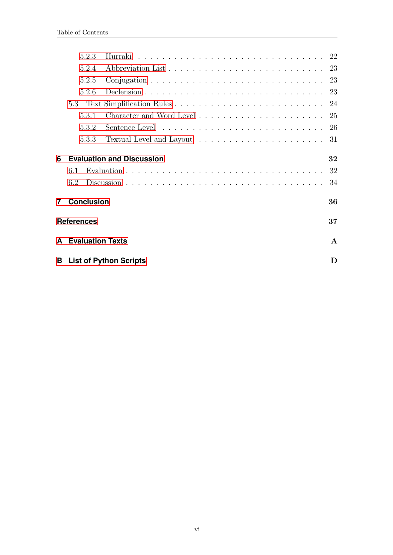|                         | 5.2.3                                   |                                  | 22 |  |  |
|-------------------------|-----------------------------------------|----------------------------------|----|--|--|
|                         | 5.2.4                                   |                                  |    |  |  |
|                         | 5.2.5                                   |                                  |    |  |  |
|                         | 5.2.6                                   |                                  |    |  |  |
|                         | 5.3                                     |                                  |    |  |  |
|                         | 5.3.1                                   |                                  |    |  |  |
|                         | 5.3.2                                   |                                  |    |  |  |
|                         | 5.3.3                                   |                                  | 31 |  |  |
| 6                       |                                         | <b>Evaluation and Discussion</b> | 32 |  |  |
|                         | 6.1                                     |                                  | 32 |  |  |
|                         | 6.2                                     |                                  | 34 |  |  |
| $\overline{7}$          | <b>Conclusion</b>                       |                                  | 36 |  |  |
| 37<br><b>References</b> |                                         |                                  |    |  |  |
| A                       | <b>Evaluation Texts</b><br>$\mathbf{A}$ |                                  |    |  |  |
| в                       | <b>List of Python Scripts</b><br>Ð      |                                  |    |  |  |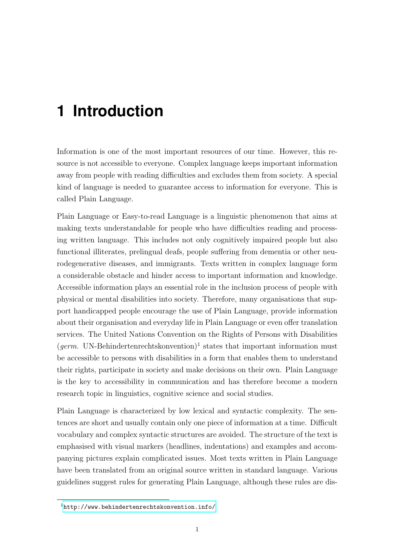# <span id="page-7-0"></span>**1 Introduction**

Information is one of the most important resources of our time. However, this resource is not accessible to everyone. Complex language keeps important information away from people with reading difficulties and excludes them from society. A special kind of language is needed to guarantee access to information for everyone. This is called Plain Language.

Plain Language or Easy-to-read Language is a linguistic phenomenon that aims at making texts understandable for people who have difficulties reading and processing written language. This includes not only cognitively impaired people but also functional illiterates, prelingual deafs, people suffering from dementia or other neurodegenerative diseases, and immigrants. Texts written in complex language form a considerable obstacle and hinder access to important information and knowledge. Accessible information plays an essential role in the inclusion process of people with physical or mental disabilities into society. Therefore, many organisations that support handicapped people encourage the use of Plain Language, provide information about their organisation and everyday life in Plain Language or even offer translation services. The United Nations Convention on the Rights of Persons with Disabilities  $(germ.$  UN-Behindertenrechtskonvention)<sup>1</sup> states that important information must be accessible to persons with disabilities in a form that enables them to understand their rights, participate in society and make decisions on their own. Plain Language is the key to accessibility in communication and has therefore become a modern research topic in linguistics, cognitive science and social studies.

Plain Language is characterized by low lexical and syntactic complexity. The sentences are short and usually contain only one piece of information at a time. Difficult vocabulary and complex syntactic structures are avoided. The structure of the text is emphasised with visual markers (headlines, indentations) and examples and accompanying pictures explain complicated issues. Most texts written in Plain Language have been translated from an original source written in standard language. Various guidelines suggest rules for generating Plain Language, although these rules are dis-

<sup>1</sup><http://www.behindertenrechtskonvention.info/>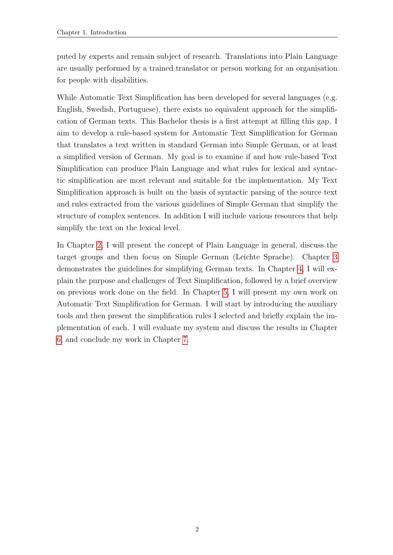puted by experts and remain subject of research. Translations into Plain Language are usually performed by a trained translator or person working for an organisation for people with disabilities.

While Automatic Text Simplification has been developed for several languages (e.g. English, Swedish, Portuguese), there exists no equivalent approach for the simplification of German texts. This Bachelor thesis is a first attempt at filling this gap. I aim to develop a rule-based system for Automatic Text Simplification for German that translates a text written in standard German into Simple German, or at least a simplified version of German. My goal is to examine if and how rule-based Text Simplification can produce Plain Language and what rules for lexical and syntactic simplification are most relevant and suitable for the implementation. My Text Simplification approach is built on the basis of syntactic parsing of the source text and rules extracted from the various guidelines of Simple German that simplify the structure of complex sentences. In addition I will include various resources that help simplify the text on the lexical level.

In Chapter [2,](#page-9-0) I will present the concept of Plain Language in general, discuss the target groups and then focus on Simple German (Leichte Sprache). Chapter [3](#page-16-0) demonstrates the guidelines for simplifying German texts. In Chapter [4,](#page-22-0) I will explain the purpose and challenges of Text Simplification, followed by a brief overview on previous work done on the field. In Chapter [5,](#page-27-0) I will present my own work on Automatic Text Simplification for German. I will start by introducing the auxiliary tools and then present the simplification rules I selected and briefly explain the implementation of each. I will evaluate my system and discuss the results in Chapter [6,](#page-38-0) and conclude my work in Chapter [7.](#page-42-0)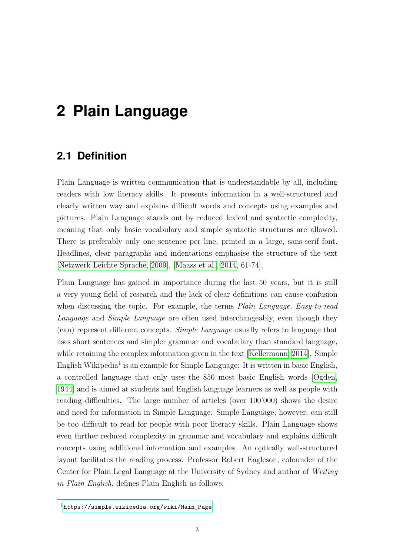# <span id="page-9-0"></span>**2 Plain Language**

## <span id="page-9-1"></span>**2.1 Definition**

Plain Language is written communication that is understandable by all, including readers with low literacy skills. It presents information in a well-structured and clearly written way and explains difficult words and concepts using examples and pictures. Plain Language stands out by reduced lexical and syntactic complexity, meaning that only basic vocabulary and simple syntactic structures are allowed. There is preferably only one sentence per line, printed in a large, sans-serif font. Headlines, clear paragraphs and indentations emphasise the structure of the text [\[Netzwerk Leichte Sprache, 2009\]](#page-45-0), [\[Maass et al., 2014,](#page-45-1) 61-74].

Plain Language has gained in importance during the last 50 years, but it is still a very young field of research and the lack of clear definitions can cause confusion when discussing the topic. For example, the terms *Plain Language*, *Easy-to-read* Language and Simple Language are often used interchangeably, even though they (can) represent different concepts. Simple Language usually refers to language that uses short sentences and simpler grammar and vocabulary than standard language, while retaining the complex information given in the text [\[Kellermann, 2014\]](#page-44-0). Simple English Wikipedia<sup>1</sup> is an example for Simple Language: It is written in basic English, a controlled language that only uses the 850 most basic English words [\[Ogden,](#page-45-2) [1944\]](#page-45-2) and is aimed at students and English language learners as well as people with reading difficulties. The large number of articles (over 100'000) shows the desire and need for information in Simple Language. Simple Language, however, can still be too difficult to read for people with poor literacy skills. Plain Language shows even further reduced complexity in grammar and vocabulary and explains difficult concepts using additional information and examples. An optically well-structured layout facilitates the reading process. Professor Robert Eagleson, cofounder of the Center for Plain Legal Language at the University of Sydney and author of Writing in Plain English, defines Plain English as follows:

<sup>1</sup>[https://simple.wikipedia.org/wiki/Main\\_Page](https://simple.wikipedia.org/wiki/Main_Page)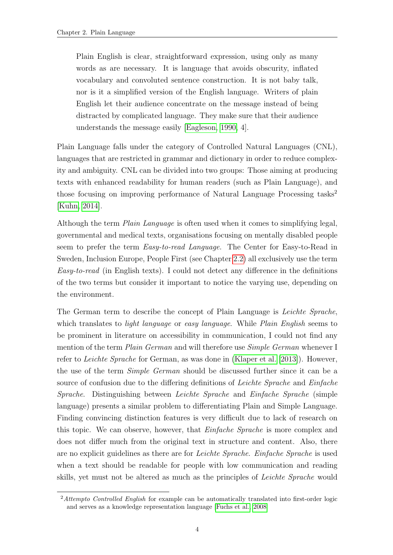Plain English is clear, straightforward expression, using only as many words as are necessary. It is language that avoids obscurity, inflated vocabulary and convoluted sentence construction. It is not baby talk, nor is it a simplified version of the English language. Writers of plain English let their audience concentrate on the message instead of being distracted by complicated language. They make sure that their audience understands the message easily [\[Eagleson, 1990,](#page-44-1) 4].

Plain Language falls under the category of Controlled Natural Languages (CNL), languages that are restricted in grammar and dictionary in order to reduce complexity and ambiguity. CNL can be divided into two groups: Those aiming at producing texts with enhanced readability for human readers (such as Plain Language), and those focusing on improving performance of Natural Language Processing tasks<sup>2</sup> [\[Kuhn, 2014\]](#page-45-3).

Although the term Plain Language is often used when it comes to simplifying legal, governmental and medical texts, organisations focusing on mentally disabled people seem to prefer the term Easy-to-read Language. The Center for Easy-to-Read in Sweden, Inclusion Europe, People First (see Chapter [2.2\)](#page-11-0) all exclusively use the term Easy-to-read (in English texts). I could not detect any difference in the definitions of the two terms but consider it important to notice the varying use, depending on the environment.

The German term to describe the concept of Plain Language is Leichte Sprache, which translates to *light language* or easy *language*. While *Plain English* seems to be prominent in literature on accessibility in communication, I could not find any mention of the term *Plain German* and will therefore use *Simple German* whenever I refer to Leichte Sprache for German, as was done in [\(Klaper et al.](#page-45-4) [\[2013\]](#page-45-4)). However, the use of the term Simple German should be discussed further since it can be a source of confusion due to the differing definitions of *Leichte Sprache* and *Einfache* Sprache. Distinguishing between Leichte Sprache and Einfache Sprache (simple language) presents a similar problem to differentiating Plain and Simple Language. Finding convincing distinction features is very difficult due to lack of research on this topic. We can observe, however, that Einfache Sprache is more complex and does not differ much from the original text in structure and content. Also, there are no explicit guidelines as there are for Leichte Sprache. Einfache Sprache is used when a text should be readable for people with low communication and reading skills, yet must not be altered as much as the principles of Leichte Sprache would

<sup>&</sup>lt;sup>2</sup>Attempto Controlled English for example can be automatically translated into first-order logic and serves as a knowledge representation language [\[Fuchs et al., 2008\]](#page-44-2)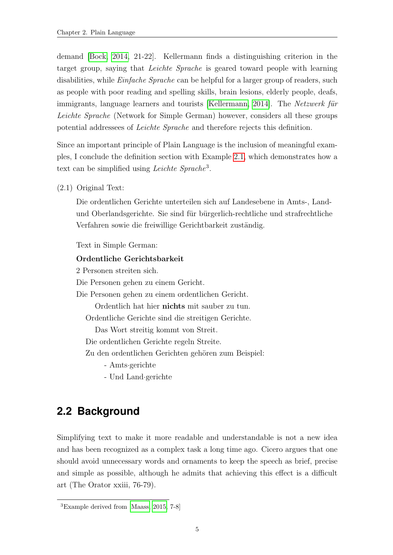demand [\[Bock, 2014,](#page-43-1) 21-22]. Kellermann finds a distinguishing criterion in the target group, saying that Leichte Sprache is geared toward people with learning disabilities, while *Einfache Sprache* can be helpful for a larger group of readers, such as people with poor reading and spelling skills, brain lesions, elderly people, deafs, immigrants, language learners and tourists [\[Kellermann, 2014\]](#page-44-0). The Netzwerk für Leichte Sprache (Network for Simple German) however, considers all these groups potential addressees of Leichte Sprache and therefore rejects this definition.

Since an important principle of Plain Language is the inclusion of meaningful examples, I conclude the definition section with Example [2.1,](#page-9-1) which demonstrates how a text can be simplified using *Leichte Sprache*<sup>3</sup>.

(2.1) Original Text:

Die ordentlichen Gerichte unterteilen sich auf Landesebene in Amts-, Landund Oberlandsgerichte. Sie sind für bürgerlich-rechtliche und strafrechtliche Verfahren sowie die freiwillige Gerichtbarkeit zuständig.

Text in Simple German:

### Ordentliche Gerichtsbarkeit

2 Personen streiten sich.

Die Personen gehen zu einem Gericht.

Die Personen gehen zu einem ordentlichen Gericht.

Ordentlich hat hier nichts mit sauber zu tun. Ordentliche Gerichte sind die streitigen Gerichte.

Das Wort streitig kommt von Streit.

Die ordentlichen Gerichte regeln Streite.

Zu den ordentlichen Gerichten gehören zum Beispiel:

- Amts·gerichte

- Und Land·gerichte

## <span id="page-11-0"></span>**2.2 Background**

Simplifying text to make it more readable and understandable is not a new idea and has been recognized as a complex task a long time ago. Cicero argues that one should avoid unnecessary words and ornaments to keep the speech as brief, precise and simple as possible, although he admits that achieving this effect is a difficult art (The Orator xxiii, 76-79).

<sup>3</sup>Example derived from [\[Maass, 2015,](#page-45-5) 7-8]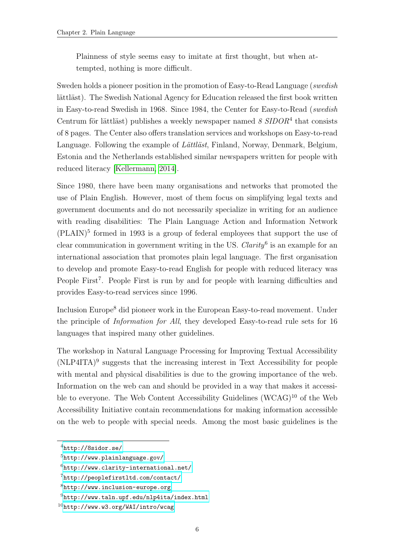Plainness of style seems easy to imitate at first thought, but when attempted, nothing is more difficult.

Sweden holds a pioneer position in the promotion of Easy-to-Read Language (swedish lättläst). The Swedish National Agency for Education released the first book written in Easy-to-read Swedish in 1968. Since 1984, the Center for Easy-to-Read (swedish Centrum för lättläst) publishes a weekly newspaper named  $8 \, SIDOR<sup>4</sup>$  that consists of 8 pages. The Center also offers translation services and workshops on Easy-to-read Language. Following the example of  $L\ddot{a}tt\ddot{a}st$ , Finland, Norway, Denmark, Belgium, Estonia and the Netherlands established similar newspapers written for people with reduced literacy [\[Kellermann, 2014\]](#page-44-0).

Since 1980, there have been many organisations and networks that promoted the use of Plain English. However, most of them focus on simplifying legal texts and government documents and do not necessarily specialize in writing for an audience with reading disabilities: The Plain Language Action and Information Network  $(PLAN)^5$  formed in 1993 is a group of federal employees that support the use of clear communication in government writing in the US. Clarity<sup>6</sup> is an example for an international association that promotes plain legal language. The first organisation to develop and promote Easy-to-read English for people with reduced literacy was People First<sup>7</sup>. People First is run by and for people with learning difficulties and provides Easy-to-read services since 1996.

Inclusion Europe<sup>8</sup> did pioneer work in the European Easy-to-read movement. Under the principle of Information for All, they developed Easy-to-read rule sets for 16 languages that inspired many other guidelines.

The workshop in Natural Language Processing for Improving Textual Accessibility (NLP4ITA)<sup>9</sup> suggests that the increasing interest in Text Accessibility for people with mental and physical disabilities is due to the growing importance of the web. Information on the web can and should be provided in a way that makes it accessible to everyone. The Web Content Accessibility Guidelines (WCAG)<sup>10</sup> of the Web Accessibility Initiative contain recommendations for making information accessible on the web to people with special needs. Among the most basic guidelines is the

<sup>4</sup><http://8sidor.se/>

<sup>5</sup><http://www.plainlanguage.gov/>

 $6$ <http://www.clarity-international.net/>

<sup>7</sup><http://peoplefirstltd.com/contact/>

<sup>8</sup><http://www.inclusion-europe.org>

<sup>9</sup><http://www.taln.upf.edu/nlp4ita/index.html>

 $10$ <http://www.w3.org/WAI/intro/wcag>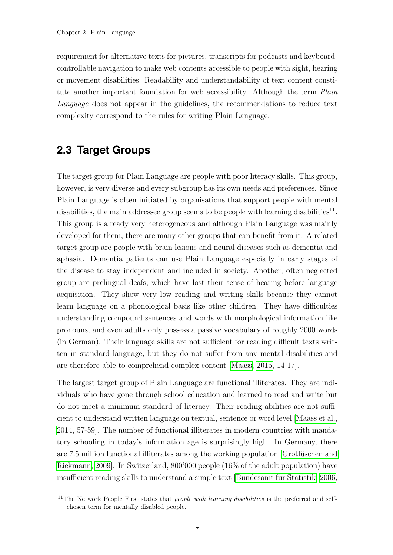requirement for alternative texts for pictures, transcripts for podcasts and keyboardcontrollable navigation to make web contents accessible to people with sight, hearing or movement disabilities. Readability and understandability of text content constitute another important foundation for web accessibility. Although the term *Plain* Language does not appear in the guidelines, the recommendations to reduce text complexity correspond to the rules for writing Plain Language.

## <span id="page-13-0"></span>**2.3 Target Groups**

The target group for Plain Language are people with poor literacy skills. This group, however, is very diverse and every subgroup has its own needs and preferences. Since Plain Language is often initiated by organisations that support people with mental disabilities, the main addressee group seems to be people with learning disabilities<sup>11</sup>. This group is already very heterogeneous and although Plain Language was mainly developed for them, there are many other groups that can benefit from it. A related target group are people with brain lesions and neural diseases such as dementia and aphasia. Dementia patients can use Plain Language especially in early stages of the disease to stay independent and included in society. Another, often neglected group are prelingual deafs, which have lost their sense of hearing before language acquisition. They show very low reading and writing skills because they cannot learn language on a phonological basis like other children. They have difficulties understanding compound sentences and words with morphological information like pronouns, and even adults only possess a passive vocabulary of roughly 2000 words (in German). Their language skills are not sufficient for reading difficult texts written in standard language, but they do not suffer from any mental disabilities and are therefore able to comprehend complex content [\[Maass, 2015,](#page-45-5) 14-17].

The largest target group of Plain Language are functional illiterates. They are individuals who have gone through school education and learned to read and write but do not meet a minimum standard of literacy. Their reading abilities are not sufficient to understand written language on textual, sentence or word level [\[Maass et al.,](#page-45-1) [2014,](#page-45-1) 57-59]. The number of functional illiterates in modern countries with mandatory schooling in today's information age is surprisingly high. In Germany, there are 7.5 million functional illiterates among the working population [Grotlüschen and [Riekmann, 2009\]](#page-44-3). In Switzerland, 800'000 people (16% of the adult population) have insufficient reading skills to understand a simple text [Bundesamt für Statistik, 2006,

<sup>&</sup>lt;sup>11</sup>The Network People First states that *people with learning disabilities* is the preferred and selfchosen term for mentally disabled people.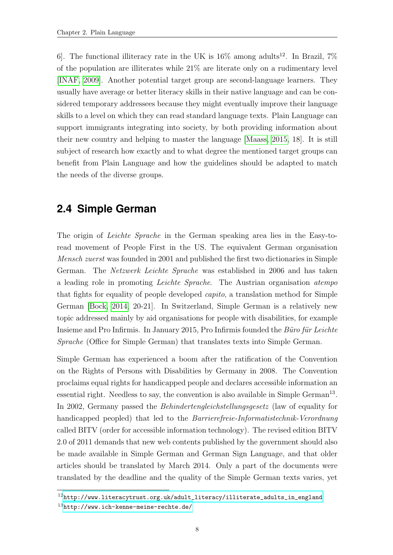6. The functional illiteracy rate in the UK is  $16\%$  among adults<sup>12</sup>. In Brazil, 7% of the population are illiterates while 21% are literate only on a rudimentary level [\[INAF, 2009\]](#page-44-4). Another potential target group are second-language learners. They usually have average or better literacy skills in their native language and can be considered temporary addressees because they might eventually improve their language skills to a level on which they can read standard language texts. Plain Language can support immigrants integrating into society, by both providing information about their new country and helping to master the language [\[Maass, 2015,](#page-45-5) 18]. It is still subject of research how exactly and to what degree the mentioned target groups can benefit from Plain Language and how the guidelines should be adapted to match the needs of the diverse groups.

## <span id="page-14-0"></span>**2.4 Simple German**

The origin of Leichte Sprache in the German speaking area lies in the Easy-toread movement of People First in the US. The equivalent German organisation Mensch zuerst was founded in 2001 and published the first two dictionaries in Simple German. The Netzwerk Leichte Sprache was established in 2006 and has taken a leading role in promoting Leichte Sprache. The Austrian organisation atempo that fights for equality of people developed capito, a translation method for Simple German [\[Bock, 2014,](#page-43-1) 20-21]. In Switzerland, Simple German is a relatively new topic addressed mainly by aid organisations for people with disabilities, for example Insieme and Pro Infirmis. In January 2015, Pro Infirmis founded the Büro für Leichte Sprache (Office for Simple German) that translates texts into Simple German.

Simple German has experienced a boom after the ratification of the Convention on the Rights of Persons with Disabilities by Germany in 2008. The Convention proclaims equal rights for handicapped people and declares accessible information an essential right. Needless to say, the convention is also available in Simple German<sup>13</sup>. In 2002, Germany passed the Behindertengleichstellungsgesetz (law of equality for handicapped peopled) that led to the Barrierefreie-Informatistechnik-Verordnung called BITV (order for accessible information technology). The revised edition BITV 2.0 of 2011 demands that new web contents published by the government should also be made available in Simple German and German Sign Language, and that older articles should be translated by March 2014. Only a part of the documents were translated by the deadline and the quality of the Simple German texts varies, yet

<sup>12</sup>[http://www.literacytrust.org.uk/adult\\_literacy/illiterate\\_adults\\_in\\_england](http://www.literacytrust.org.uk/adult_literacy/illiterate_adults_in_england)  $13$ <http://www.ich-kenne-meine-rechte.de/>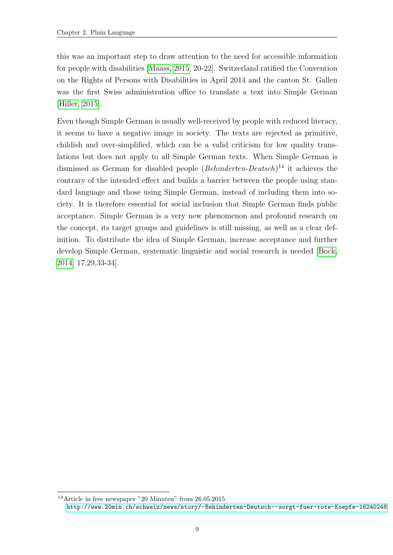this was an important step to draw attention to the need for accessible information for people with disabilities [\[Maass, 2015,](#page-45-5) 20-22]. Switzerland ratified the Convention on the Rights of Persons with Disabilities in April 2014 and the canton St. Gallen was the first Swiss administration office to translate a text into Simple German [\[Hiller, 2015\]](#page-44-5).

Even though Simple German is usually well-received by people with reduced literacy, it seems to have a negative image in society. The texts are rejected as primitive, childish and over-simplified, which can be a valid criticism for low quality translations but does not apply to all Simple German texts. When Simple German is dismissed as German for disabled people (*Behinderten-Deutsch*)<sup>14</sup> it achieves the contrary of the intended effect and builds a barrier between the people using standard language and those using Simple German, instead of including them into society. It is therefore essential for social inclusion that Simple German finds public acceptance. Simple German is a very new phenomenon and profound research on the concept, its target groups and guidelines is still missing, as well as a clear definition. To distribute the idea of Simple German, increase acceptance and further develop Simple German, systematic linguistic and social research is needed [\[Bock,](#page-43-1) [2014,](#page-43-1) 17,29,33-34].

<sup>14</sup>Article in free newspaper "20 Minuten" from 26.05.2015 <http://www.20min.ch/schweiz/news/story/-Behinderten-Deutsch--sorgt-fuer-rote-Koepfe-16240248>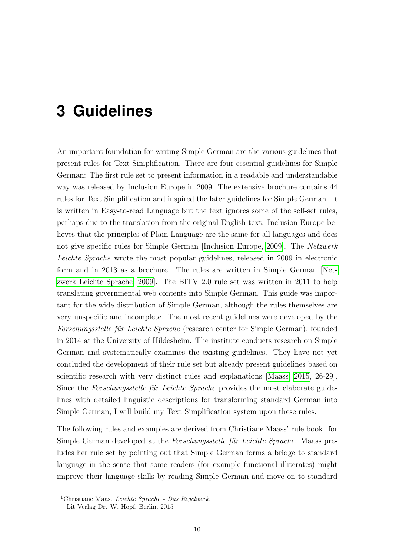# <span id="page-16-0"></span>**3 Guidelines**

An important foundation for writing Simple German are the various guidelines that present rules for Text Simplification. There are four essential guidelines for Simple German: The first rule set to present information in a readable and understandable way was released by Inclusion Europe in 2009. The extensive brochure contains 44 rules for Text Simplification and inspired the later guidelines for Simple German. It is written in Easy-to-read Language but the text ignores some of the self-set rules, perhaps due to the translation from the original English text. Inclusion Europe believes that the principles of Plain Language are the same for all languages and does not give specific rules for Simple German [\[Inclusion Europe, 2009\]](#page-44-6). The Netzwerk Leichte Sprache wrote the most popular guidelines, released in 2009 in electronic form and in 2013 as a brochure. The rules are written in Simple German [\[Net](#page-45-0)[zwerk Leichte Sprache, 2009\]](#page-45-0). The BITV 2.0 rule set was written in 2011 to help translating governmental web contents into Simple German. This guide was important for the wide distribution of Simple German, although the rules themselves are very unspecific and incomplete. The most recent guidelines were developed by the Forschungsstelle für Leichte Sprache (research center for Simple German), founded in 2014 at the University of Hildesheim. The institute conducts research on Simple German and systematically examines the existing guidelines. They have not yet concluded the development of their rule set but already present guidelines based on scientific research with very distinct rules and explanations [\[Maass, 2015,](#page-45-5) 26-29]. Since the Forschungsstelle für Leichte Sprache provides the most elaborate guidelines with detailed linguistic descriptions for transforming standard German into Simple German, I will build my Text Simplification system upon these rules.

The following rules and examples are derived from Christiane Maass' rule book<sup>1</sup> for Simple German developed at the *Forschungsstelle für Leichte Sprache*. Maass preludes her rule set by pointing out that Simple German forms a bridge to standard language in the sense that some readers (for example functional illiterates) might improve their language skills by reading Simple German and move on to standard

 $1$ Christiane Maas. Leichte Sprache - Das Regelwerk.

Lit Verlag Dr. W. Hopf, Berlin, 2015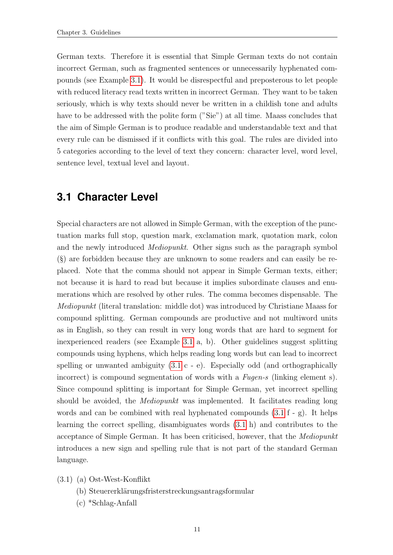German texts. Therefore it is essential that Simple German texts do not contain incorrect German, such as fragmented sentences or unnecessarily hyphenated compounds (see Example [3.1\)](#page-17-1). It would be disrespectful and preposterous to let people with reduced literacy read texts written in incorrect German. They want to be taken seriously, which is why texts should never be written in a childish tone and adults have to be addressed with the polite form ("Sie") at all time. Maass concludes that the aim of Simple German is to produce readable and understandable text and that every rule can be dismissed if it conflicts with this goal. The rules are divided into 5 categories according to the level of text they concern: character level, word level, sentence level, textual level and layout.

## <span id="page-17-0"></span>**3.1 Character Level**

Special characters are not allowed in Simple German, with the exception of the punctuation marks full stop, question mark, exclamation mark, quotation mark, colon and the newly introduced Mediopunkt. Other signs such as the paragraph symbol (§) are forbidden because they are unknown to some readers and can easily be replaced. Note that the comma should not appear in Simple German texts, either; not because it is hard to read but because it implies subordinate clauses and enumerations which are resolved by other rules. The comma becomes dispensable. The Mediopunkt (literal translation: middle dot) was introduced by Christiane Maass for compound splitting. German compounds are productive and not multiword units as in English, so they can result in very long words that are hard to segment for inexperienced readers (see Example [3.1](#page-17-1) a, b). Other guidelines suggest splitting compounds using hyphens, which helps reading long words but can lead to incorrect spelling or unwanted ambiguity  $(3.1 \text{ c} - \text{ e})$  $(3.1 \text{ c} - \text{ e})$ . Especially odd (and orthographically incorrect) is compound segmentation of words with a Fugen-s (linking element s). Since compound splitting is important for Simple German, yet incorrect spelling should be avoided, the *Mediopunkt* was implemented. It facilitates reading long words and can be combined with real hyphenated compounds  $(3.1 f - g)$  $(3.1 f - g)$ . It helps learning the correct spelling, disambiguates words [\(3.1](#page-17-1) h) and contributes to the acceptance of Simple German. It has been criticised, however, that the Mediopunkt introduces a new sign and spelling rule that is not part of the standard German language.

- <span id="page-17-1"></span>(3.1) (a) Ost-West-Konflikt
	- (b) Steuererklärungsfristerstreckungsantragsformular
	- (c) \*Schlag-Anfall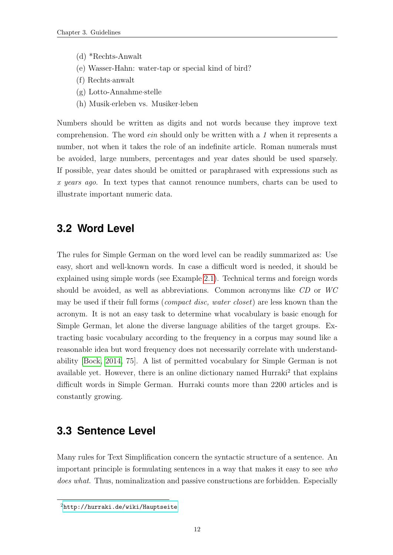- (d) \*Rechts-Anwalt
- (e) Wasser-Hahn: water-tap or special kind of bird?
- (f) Rechts·anwalt
- (g) Lotto-Annahme·stelle
- (h) Musik·erleben vs. Musiker·leben

Numbers should be written as digits and not words because they improve text comprehension. The word ein should only be written with a 1 when it represents a number, not when it takes the role of an indefinite article. Roman numerals must be avoided, large numbers, percentages and year dates should be used sparsely. If possible, year dates should be omitted or paraphrased with expressions such as x years ago. In text types that cannot renounce numbers, charts can be used to illustrate important numeric data.

## <span id="page-18-0"></span>**3.2 Word Level**

The rules for Simple German on the word level can be readily summarized as: Use easy, short and well-known words. In case a difficult word is needed, it should be explained using simple words (see Example [2.1\)](#page-9-1). Technical terms and foreign words should be avoided, as well as abbreviations. Common acronyms like CD or WC may be used if their full forms (*compact disc, water closet*) are less known than the acronym. It is not an easy task to determine what vocabulary is basic enough for Simple German, let alone the diverse language abilities of the target groups. Extracting basic vocabulary according to the frequency in a corpus may sound like a reasonable idea but word frequency does not necessarily correlate with understandability [\[Bock, 2014,](#page-43-1) 75]. A list of permitted vocabulary for Simple German is not available yet. However, there is an online dictionary named Hurraki<sup>2</sup> that explains difficult words in Simple German. Hurraki counts more than 2200 articles and is constantly growing.

## <span id="page-18-1"></span>**3.3 Sentence Level**

Many rules for Text Simplification concern the syntactic structure of a sentence. An important principle is formulating sentences in a way that makes it easy to see who does what. Thus, nominalization and passive constructions are forbidden. Especially

<sup>2</sup><http://hurraki.de/wiki/Hauptseite>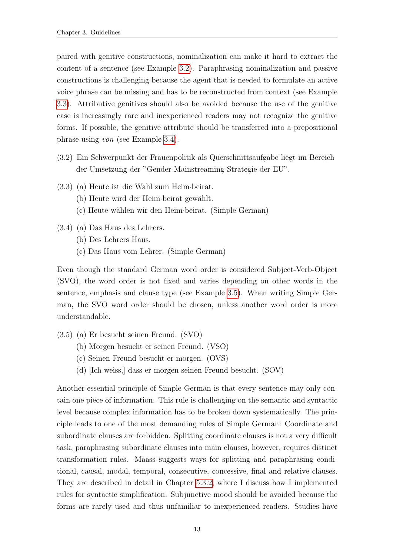paired with genitive constructions, nominalization can make it hard to extract the content of a sentence (see Example [3.2\)](#page-19-0). Paraphrasing nominalization and passive constructions is challenging because the agent that is needed to formulate an active voice phrase can be missing and has to be reconstructed from context (see Example [3.3\)](#page-19-1). Attributive genitives should also be avoided because the use of the genitive case is increasingly rare and inexperienced readers may not recognize the genitive forms. If possible, the genitive attribute should be transferred into a prepositional phrase using von (see Example [3.4\)](#page-19-2).

- <span id="page-19-0"></span>(3.2) Ein Schwerpunkt der Frauenpolitik als Querschnittsaufgabe liegt im Bereich der Umsetzung der "Gender-Mainstreaming-Strategie der EU".
- <span id="page-19-1"></span>(3.3) (a) Heute ist die Wahl zum Heim·beirat.
	- (b) Heute wird der Heim·beirat gewählt.
	- (c) Heute w¨ahlen wir den Heim·beirat. (Simple German)
- <span id="page-19-2"></span>(3.4) (a) Das Haus des Lehrers.
	- (b) Des Lehrers Haus.
	- (c) Das Haus vom Lehrer. (Simple German)

Even though the standard German word order is considered Subject-Verb-Object (SVO), the word order is not fixed and varies depending on other words in the sentence, emphasis and clause type (see Example [3.5\)](#page-19-3). When writing Simple German, the SVO word order should be chosen, unless another word order is more understandable.

- <span id="page-19-3"></span>(3.5) (a) Er besucht seinen Freund. (SVO)
	- (b) Morgen besucht er seinen Freund. (VSO)
	- (c) Seinen Freund besucht er morgen. (OVS)
	- (d) [Ich weiss,] dass er morgen seinen Freund besucht. (SOV)

Another essential principle of Simple German is that every sentence may only contain one piece of information. This rule is challenging on the semantic and syntactic level because complex information has to be broken down systematically. The principle leads to one of the most demanding rules of Simple German: Coordinate and subordinate clauses are forbidden. Splitting coordinate clauses is not a very difficult task, paraphrasing subordinate clauses into main clauses, however, requires distinct transformation rules. Maass suggests ways for splitting and paraphrasing conditional, causal, modal, temporal, consecutive, concessive, final and relative clauses. They are described in detail in Chapter [5.3.2,](#page-32-0) where I discuss how I implemented rules for syntactic simplification. Subjunctive mood should be avoided because the forms are rarely used and thus unfamiliar to inexperienced readers. Studies have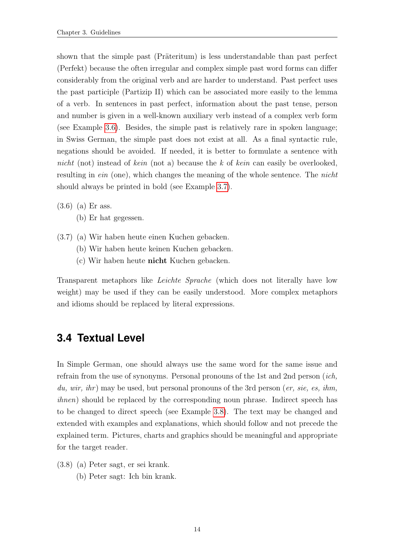shown that the simple past (Präteritum) is less understandable than past perfect (Perfekt) because the often irregular and complex simple past word forms can differ considerably from the original verb and are harder to understand. Past perfect uses the past participle (Partizip II) which can be associated more easily to the lemma of a verb. In sentences in past perfect, information about the past tense, person and number is given in a well-known auxiliary verb instead of a complex verb form (see Example [3.6\)](#page-20-1). Besides, the simple past is relatively rare in spoken language; in Swiss German, the simple past does not exist at all. As a final syntactic rule, negations should be avoided. If needed, it is better to formulate a sentence with nicht (not) instead of kein (not a) because the k of kein can easily be overlooked, resulting in *ein* (one), which changes the meaning of the whole sentence. The *nicht* should always be printed in bold (see Example [3.7\)](#page-20-2).

- <span id="page-20-1"></span>(3.6) (a) Er ass.
	- (b) Er hat gegessen.
- <span id="page-20-2"></span>(3.7) (a) Wir haben heute einen Kuchen gebacken.
	- (b) Wir haben heute keinen Kuchen gebacken.
	- (c) Wir haben heute nicht Kuchen gebacken.

Transparent metaphors like Leichte Sprache (which does not literally have low weight) may be used if they can be easily understood. More complex metaphors and idioms should be replaced by literal expressions.

## <span id="page-20-0"></span>**3.4 Textual Level**

In Simple German, one should always use the same word for the same issue and refrain from the use of synonyms. Personal pronouns of the 1st and 2nd person (ich, du, wir, ihr) may be used, but personal pronouns of the 3rd person (er, sie, es, ihm, ihnen) should be replaced by the corresponding noun phrase. Indirect speech has to be changed to direct speech (see Example [3.8\)](#page-20-3). The text may be changed and extended with examples and explanations, which should follow and not precede the explained term. Pictures, charts and graphics should be meaningful and appropriate for the target reader.

- <span id="page-20-3"></span>(3.8) (a) Peter sagt, er sei krank.
	- (b) Peter sagt: Ich bin krank.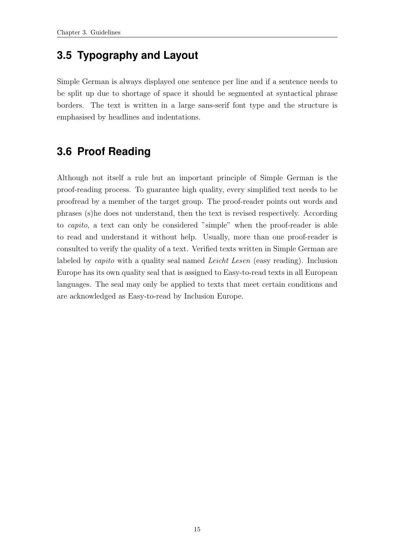## <span id="page-21-0"></span>**3.5 Typography and Layout**

Simple German is always displayed one sentence per line and if a sentence needs to be split up due to shortage of space it should be segmented at syntactical phrase borders. The text is written in a large sans-serif font type and the structure is emphasised by headlines and indentations.

# <span id="page-21-1"></span>**3.6 Proof Reading**

Although not itself a rule but an important principle of Simple German is the proof-reading process. To guarantee high quality, every simplified text needs to be proofread by a member of the target group. The proof-reader points out words and phrases (s)he does not understand, then the text is revised respectively. According to capito, a text can only be considered "simple" when the proof-reader is able to read and understand it without help. Usually, more than one proof-reader is consulted to verify the quality of a text. Verified texts written in Simple German are labeled by *capito* with a quality seal named *Leicht Lesen* (easy reading). Inclusion Europe has its own quality seal that is assigned to Easy-to-read texts in all European languages. The seal may only be applied to texts that meet certain conditions and are acknowledged as Easy-to-read by Inclusion Europe.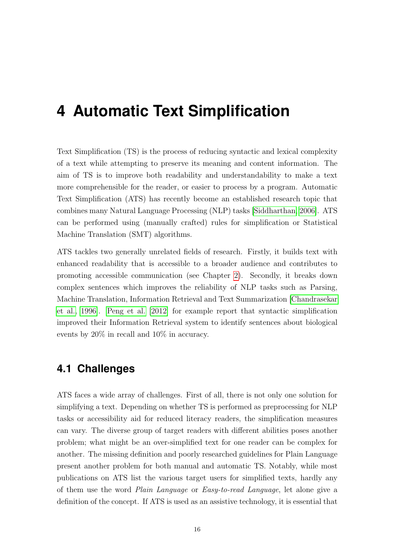# <span id="page-22-0"></span>**4 Automatic Text Simplification**

Text Simplification (TS) is the process of reducing syntactic and lexical complexity of a text while attempting to preserve its meaning and content information. The aim of TS is to improve both readability and understandability to make a text more comprehensible for the reader, or easier to process by a program. Automatic Text Simplification (ATS) has recently become an established research topic that combines many Natural Language Processing (NLP) tasks [\[Siddharthan, 2006\]](#page-46-0). ATS can be performed using (manually crafted) rules for simplification or Statistical Machine Translation (SMT) algorithms.

ATS tackles two generally unrelated fields of research. Firstly, it builds text with enhanced readability that is accessible to a broader audience and contributes to promoting accessible communication (see Chapter [2\)](#page-9-0). Secondly, it breaks down complex sentences which improves the reliability of NLP tasks such as Parsing, Machine Translation, Information Retrieval and Text Summarization [\[Chandrasekar](#page-44-7) [et al., 1996\]](#page-44-7). [Peng et al.](#page-45-6) [\[2012\]](#page-45-6) for example report that syntactic simplification improved their Information Retrieval system to identify sentences about biological events by 20% in recall and 10% in accuracy.

## <span id="page-22-1"></span>**4.1 Challenges**

ATS faces a wide array of challenges. First of all, there is not only one solution for simplifying a text. Depending on whether TS is performed as preprocessing for NLP tasks or accessibility aid for reduced literacy readers, the simplification measures can vary. The diverse group of target readers with different abilities poses another problem; what might be an over-simplified text for one reader can be complex for another. The missing definition and poorly researched guidelines for Plain Language present another problem for both manual and automatic TS. Notably, while most publications on ATS list the various target users for simplified texts, hardly any of them use the word Plain Language or Easy-to-read Language, let alone give a definition of the concept. If ATS is used as an assistive technology, it is essential that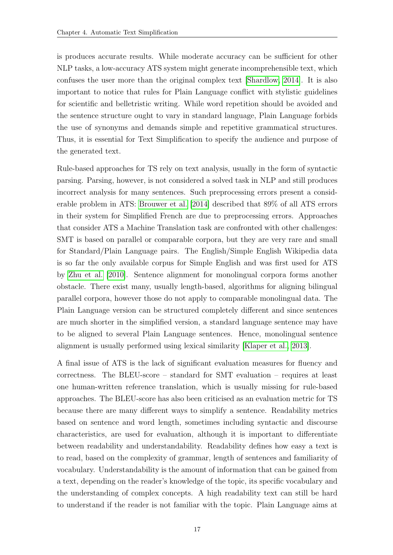is produces accurate results. While moderate accuracy can be sufficient for other NLP tasks, a low-accuracy ATS system might generate incomprehensible text, which confuses the user more than the original complex text [\[Shardlow, 2014\]](#page-46-1). It is also important to notice that rules for Plain Language conflict with stylistic guidelines for scientific and belletristic writing. While word repetition should be avoided and the sentence structure ought to vary in standard language, Plain Language forbids the use of synonyms and demands simple and repetitive grammatical structures. Thus, it is essential for Text Simplification to specify the audience and purpose of the generated text.

Rule-based approaches for TS rely on text analysis, usually in the form of syntactic parsing. Parsing, however, is not considered a solved task in NLP and still produces incorrect analysis for many sentences. Such preprocessing errors present a considerable problem in ATS: [Brouwer et al.](#page-43-3) [\[2014\]](#page-43-3) described that 89% of all ATS errors in their system for Simplified French are due to preprocessing errors. Approaches that consider ATS a Machine Translation task are confronted with other challenges: SMT is based on parallel or comparable corpora, but they are very rare and small for Standard/Plain Language pairs. The English/Simple English Wikipedia data is so far the only available corpus for Simple English and was first used for ATS by [Zhu et al.](#page-46-2) [\[2010\]](#page-46-2). Sentence alignment for monolingual corpora forms another obstacle. There exist many, usually length-based, algorithms for aligning bilingual parallel corpora, however those do not apply to comparable monolingual data. The Plain Language version can be structured completely different and since sentences are much shorter in the simplified version, a standard language sentence may have to be aligned to several Plain Language sentences. Hence, monolingual sentence alignment is usually performed using lexical similarity [\[Klaper et al., 2013\]](#page-45-4).

A final issue of ATS is the lack of significant evaluation measures for fluency and correctness. The BLEU-score – standard for SMT evaluation – requires at least one human-written reference translation, which is usually missing for rule-based approaches. The BLEU-score has also been criticised as an evaluation metric for TS because there are many different ways to simplify a sentence. Readability metrics based on sentence and word length, sometimes including syntactic and discourse characteristics, are used for evaluation, although it is important to differentiate between readability and understandability. Readability defines how easy a text is to read, based on the complexity of grammar, length of sentences and familiarity of vocabulary. Understandability is the amount of information that can be gained from a text, depending on the reader's knowledge of the topic, its specific vocabulary and the understanding of complex concepts. A high readability text can still be hard to understand if the reader is not familiar with the topic. Plain Language aims at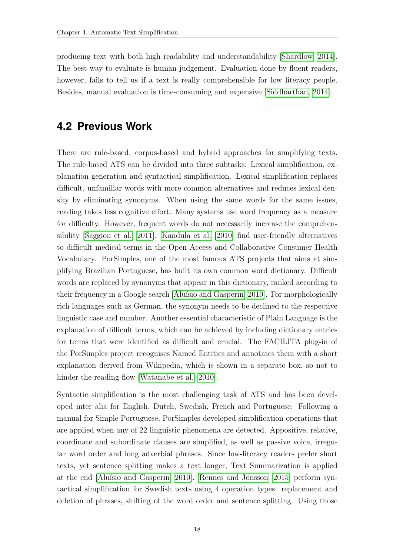producing text with both high readability and understandability [\[Shardlow, 2014\]](#page-46-1). The best way to evaluate is human judgement. Evaluation done by fluent readers, however, fails to tell us if a text is really comprehensible for low literacy people. Besides, manual evaluation is time-consuming and expensive [\[Siddharthan, 2014\]](#page-46-3).

## <span id="page-24-0"></span>**4.2 Previous Work**

There are rule-based, corpus-based and hybrid approaches for simplifying texts. The rule-based ATS can be divided into three subtasks: Lexical simplification, explanation generation and syntactical simplification. Lexical simplification replaces difficult, unfamiliar words with more common alternatives and reduces lexical density by eliminating synonyms. When using the same words for the same issues, reading takes less cognitive effort. Many systems use word frequency as a measure for difficulty. However, frequent words do not necessarily increase the comprehensibility [\[Saggion et al., 2011\]](#page-45-7). [Kandula et al.](#page-44-8) [\[2010\]](#page-44-8) find user-friendly alternatives to difficult medical terms in the Open Access and Collaborative Consumer Health Vocabulary. PorSimples, one of the most famous ATS projects that aims at simplifying Brazilian Portuguese, has built its own common word dictionary. Difficult words are replaced by synonyms that appear in this dictionary, ranked according to their frequency in a Google search [Aluísio and Gasperin, 2010]. For morphologically rich languages such as German, the synonym needs to be declined to the respective linguistic case and number. Another essential characteristic of Plain Language is the explanation of difficult terms, which can be achieved by including dictionary entries for terms that were identified as difficult and crucial. The FACILITA plug-in of the PorSimples project recognises Named Entities and annotates them with a short explanation derived from Wikipedia, which is shown in a separate box, so not to hinder the reading flow [\[Watanabe et al., 2010\]](#page-46-4).

Syntactic simplification is the most challenging task of ATS and has been developed inter alia for English, Dutch, Swedish, French and Portuguese. Following a manual for Simple Portuguese, PorSimples developed simplification operations that are applied when any of 22 linguistic phenomena are detected. Appositive, relative, coordinate and subordinate clauses are simplified, as well as passive voice, irregular word order and long adverbial phrases. Since low-literacy readers prefer short texts, yet sentence splitting makes a text longer, Text Summarization is applied at the end [Aluísio and Gasperin, 2010]. Rennes and Jönsson  $[2015]$  perform syntactical simplification for Swedish texts using 4 operation types: replacement and deletion of phrases, shifting of the word order and sentence splitting. Using those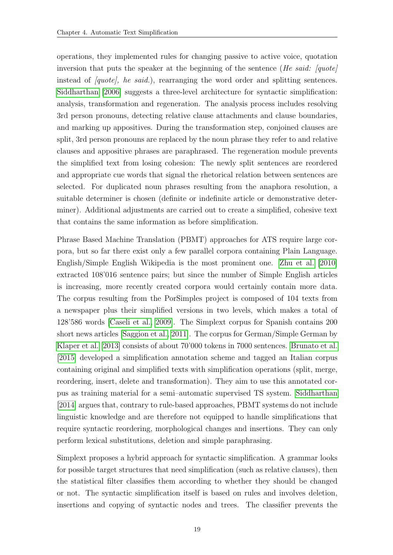operations, they implemented rules for changing passive to active voice, quotation inversion that puts the speaker at the beginning of the sentence (He said: [quote] instead of  $\langle quote, he \ said. \rangle$ , rearranging the word order and splitting sentences. [Siddharthan](#page-46-0) [\[2006\]](#page-46-0) suggests a three-level architecture for syntactic simplification: analysis, transformation and regeneration. The analysis process includes resolving 3rd person pronouns, detecting relative clause attachments and clause boundaries, and marking up appositives. During the transformation step, conjoined clauses are split, 3rd person pronouns are replaced by the noun phrase they refer to and relative clauses and appositive phrases are paraphrased. The regeneration module prevents the simplified text from losing cohesion: The newly split sentences are reordered and appropriate cue words that signal the rhetorical relation between sentences are selected. For duplicated noun phrases resulting from the anaphora resolution, a suitable determiner is chosen (definite or indefinite article or demonstrative determiner). Additional adjustments are carried out to create a simplified, cohesive text that contains the same information as before simplification.

Phrase Based Machine Translation (PBMT) approaches for ATS require large corpora, but so far there exist only a few parallel corpora containing Plain Language. English/Simple English Wikipedia is the most prominent one. [Zhu et al.](#page-46-2) [\[2010\]](#page-46-2) extracted 108'016 sentence pairs; but since the number of Simple English articles is increasing, more recently created corpora would certainly contain more data. The corpus resulting from the PorSimples project is composed of 104 texts from a newspaper plus their simplified versions in two levels, which makes a total of 128'586 words [\[Caseli et al., 2009\]](#page-43-5). The Simplext corpus for Spanish contains 200 short news articles [\[Saggion et al., 2011\]](#page-45-7). The corpus for German/Simple German by [Klaper et al.](#page-45-4) [\[2013\]](#page-45-4) consists of about 70'000 tokens in 7000 sentences. [Brunato et al.](#page-43-6) [\[2015\]](#page-43-6) developed a simplification annotation scheme and tagged an Italian corpus containing original and simplified texts with simplification operations (split, merge, reordering, insert, delete and transformation). They aim to use this annotated corpus as training material for a semi–automatic supervised TS system. [Siddharthan](#page-46-3) [\[2014\]](#page-46-3) argues that, contrary to rule-based approaches, PBMT systems do not include linguistic knowledge and are therefore not equipped to handle simplifications that require syntactic reordering, morphological changes and insertions. They can only perform lexical substitutions, deletion and simple paraphrasing.

Simplext proposes a hybrid approach for syntactic simplification. A grammar looks for possible target structures that need simplification (such as relative clauses), then the statistical filter classifies them according to whether they should be changed or not. The syntactic simplification itself is based on rules and involves deletion, insertions and copying of syntactic nodes and trees. The classifier prevents the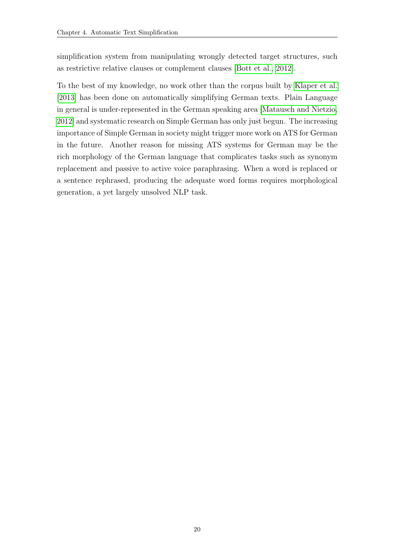simplification system from manipulating wrongly detected target structures, such as restrictive relative clauses or complement clauses [\[Bott et al., 2012\]](#page-43-7).

To the best of my knowledge, no work other than the corpus built by [Klaper et al.](#page-45-4) [\[2013\]](#page-45-4) has been done on automatically simplifying German texts. Plain Language in general is under-represented in the German speaking area [\[Matausch and Nietzio,](#page-45-9) [2012\]](#page-45-9) and systematic research on Simple German has only just begun. The increasing importance of Simple German in society might trigger more work on ATS for German in the future. Another reason for missing ATS systems for German may be the rich morphology of the German language that complicates tasks such as synonym replacement and passive to active voice paraphrasing. When a word is replaced or a sentence rephrased, producing the adequate word forms requires morphological generation, a yet largely unsolved NLP task.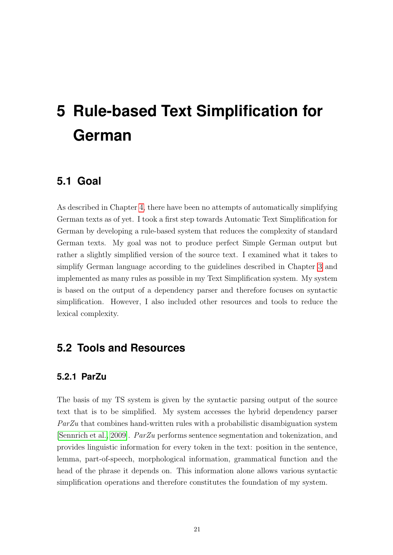# <span id="page-27-0"></span>**5 Rule-based Text Simplification for German**

## <span id="page-27-1"></span>**5.1 Goal**

As described in Chapter [4,](#page-22-0) there have been no attempts of automatically simplifying German texts as of yet. I took a first step towards Automatic Text Simplification for German by developing a rule-based system that reduces the complexity of standard German texts. My goal was not to produce perfect Simple German output but rather a slightly simplified version of the source text. I examined what it takes to simplify German language according to the guidelines described in Chapter [3](#page-16-0) and implemented as many rules as possible in my Text Simplification system. My system is based on the output of a dependency parser and therefore focuses on syntactic simplification. However, I also included other resources and tools to reduce the lexical complexity.

## <span id="page-27-2"></span>**5.2 Tools and Resources**

### <span id="page-27-3"></span>**5.2.1 ParZu**

The basis of my TS system is given by the syntactic parsing output of the source text that is to be simplified. My system accesses the hybrid dependency parser ParZu that combines hand-written rules with a probabilistic disambiguation system [\[Sennrich et al., 2009\]](#page-45-10). ParZu performs sentence segmentation and tokenization, and provides linguistic information for every token in the text: position in the sentence, lemma, part-of-speech, morphological information, grammatical function and the head of the phrase it depends on. This information alone allows various syntactic simplification operations and therefore constitutes the foundation of my system.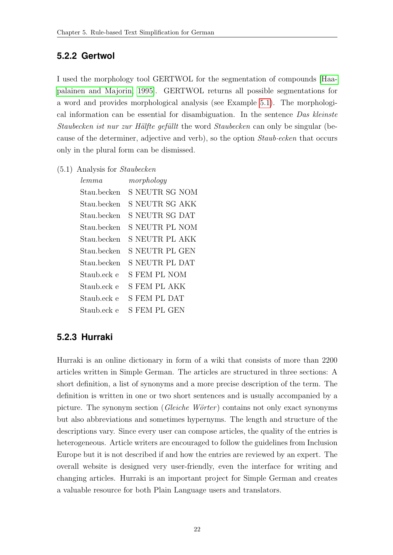### <span id="page-28-0"></span>**5.2.2 Gertwol**

I used the morphology tool GERTWOL for the segmentation of compounds [\[Haa](#page-44-9)[palainen and Majorin, 1995\]](#page-44-9). GERTWOL returns all possible segmentations for a word and provides morphological analysis (see Example [5.1\)](#page-28-2). The morphological information can be essential for disambiguation. In the sentence Das kleinste Staubecken ist nur zur Hälfte gefüllt the word Staubecken can only be singular (because of the determiner, adjective and verb), so the option Staub·ecken that occurs only in the plural form can be dismissed.

<span id="page-28-2"></span>(5.1) Analysis for Staubecken

| morphology          |
|---------------------|
| S NEUTR SG NOM      |
| S NEUTR SG AKK      |
| S NEUTR SG DAT      |
| S NEUTR PL NOM      |
| S NEUTR PL AKK      |
| S NEUTR PL GEN      |
| S NEUTR PL DAT      |
| S FEM PL NOM        |
| <b>S FEM PL AKK</b> |
| S FEM PL DAT        |
| S FEM PL GEN        |
|                     |

### <span id="page-28-1"></span>**5.2.3 Hurraki**

Hurraki is an online dictionary in form of a wiki that consists of more than 2200 articles written in Simple German. The articles are structured in three sections: A short definition, a list of synonyms and a more precise description of the term. The definition is written in one or two short sentences and is usually accompanied by a picture. The synonym section ( $Gleiche\;Wörter$ ) contains not only exact synonyms but also abbreviations and sometimes hypernyms. The length and structure of the descriptions vary. Since every user can compose articles, the quality of the entries is heterogeneous. Article writers are encouraged to follow the guidelines from Inclusion Europe but it is not described if and how the entries are reviewed by an expert. The overall website is designed very user-friendly, even the interface for writing and changing articles. Hurraki is an important project for Simple German and creates a valuable resource for both Plain Language users and translators.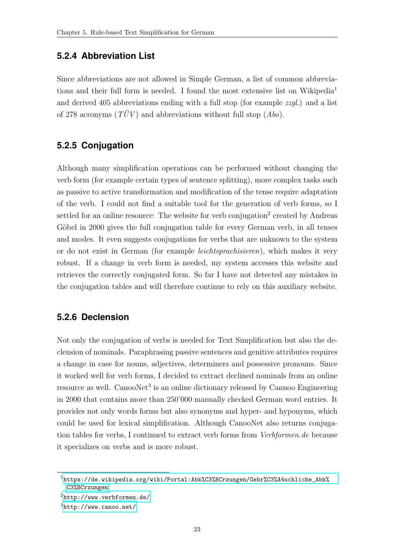### <span id="page-29-0"></span>**5.2.4 Abbreviation List**

Since abbreviations are not allowed in Simple German, a list of common abbreviations and their full form is needed. I found the most extensive list on Wikipedia<sup>1</sup> and derived 405 abbreviations ending with a full stop (for example zzgl.) and a list of 278 acronyms ( $T\ddot{U}V$ ) and abbreviations without full stop (Abo).

### <span id="page-29-1"></span>**5.2.5 Conjugation**

Although many simplification operations can be performed without changing the verb form (for example certain types of sentence splitting), more complex tasks such as passive to active transformation and modification of the tense require adaptation of the verb. I could not find a suitable tool for the generation of verb forms, so I settled for an online resource: The website for verb conjugation<sup>2</sup> created by Andreas Göbel in 2000 gives the full conjugation table for every German verb, in all tenses and modes. It even suggests conjugations for verbs that are unknown to the system or do not exist in German (for example leichtsprachisieren), which makes it very robust. If a change in verb form is needed, my system accesses this website and retrieves the correctly conjugated form. So far I have not detected any mistakes in the conjugation tables and will therefore continue to rely on this auxiliary website.

### <span id="page-29-2"></span>**5.2.6 Declension**

Not only the conjugation of verbs is needed for Text Simplification but also the declension of nominals. Paraphrasing passive sentences and genitive attributes requires a change in case for nouns, adjectives, determiners and possessive pronouns. Since it worked well for verb forms, I decided to extract declined nominals from an online resource as well. CanooNet<sup>3</sup> is an online dictionary released by Cannoo Engineering in 2000 that contains more than 250'000 manually checked German word entries. It provides not only words forms but also synonyms and hyper- and hyponyms, which could be used for lexical simplification. Although CanooNet also returns conjugation tables for verbs, I continued to extract verb forms from Verbformen.de because it specializes on verbs and is more robust.

<sup>1</sup>[https://de.wikipedia.org/wiki/Portal:Abk%C3%BCrzungen/Gebr%C3%A4uchliche\\_Abk%](https://de.wikipedia.org/wiki/Portal:Abk%C3%BCrzungen/Gebr%C3%A4uchliche_Abk%C3%BCrzungen) [C3%BCrzungen](https://de.wikipedia.org/wiki/Portal:Abk%C3%BCrzungen/Gebr%C3%A4uchliche_Abk%C3%BCrzungen)

 $^{2}$ <http://www.verbformen.de/>

 $3$ <http://www.canoo.net/>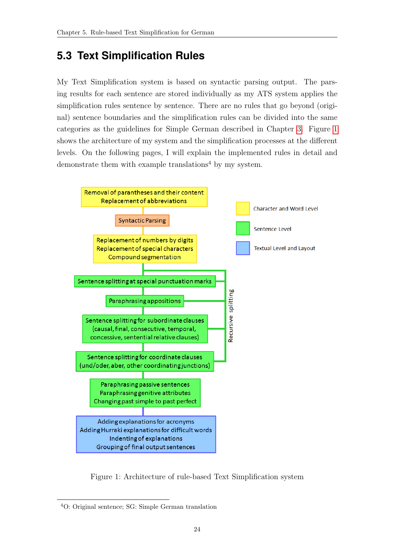# <span id="page-30-0"></span>**5.3 Text Simplification Rules**

My Text Simplification system is based on syntactic parsing output. The parsing results for each sentence are stored individually as my ATS system applies the simplification rules sentence by sentence. There are no rules that go beyond (original) sentence boundaries and the simplification rules can be divided into the same categories as the guidelines for Simple German described in Chapter [3.](#page-16-0) Figure [1](#page-30-1) shows the architecture of my system and the simplification processes at the different levels. On the following pages, I will explain the implemented rules in detail and demonstrate them with example translations<sup>4</sup> by my system.



<span id="page-30-1"></span>Figure 1: Architecture of rule-based Text Simplification system

<sup>4</sup>O: Original sentence; SG: Simple German translation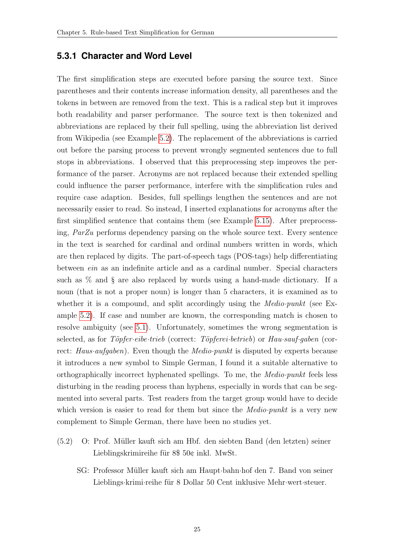### <span id="page-31-0"></span>**5.3.1 Character and Word Level**

The first simplification steps are executed before parsing the source text. Since parentheses and their contents increase information density, all parentheses and the tokens in between are removed from the text. This is a radical step but it improves both readability and parser performance. The source text is then tokenized and abbreviations are replaced by their full spelling, using the abbreviation list derived from Wikipedia (see Example [5.2\)](#page-31-1). The replacement of the abbreviations is carried out before the parsing process to prevent wrongly segmented sentences due to full stops in abbreviations. I observed that this preprocessing step improves the performance of the parser. Acronyms are not replaced because their extended spelling could influence the parser performance, interfere with the simplification rules and require case adaption. Besides, full spellings lengthen the sentences and are not necessarily easier to read. So instead, I inserted explanations for acronyms after the first simplified sentence that contains them (see Example [5.15\)](#page-37-1). After preprocessing, ParZu performs dependency parsing on the whole source text. Every sentence in the text is searched for cardinal and ordinal numbers written in words, which are then replaced by digits. The part-of-speech tags (POS-tags) help differentiating between ein as an indefinite article and as a cardinal number. Special characters such as % and § are also replaced by words using a hand-made dictionary. If a noun (that is not a proper noun) is longer than 5 characters, it is examined as to whether it is a compound, and split accordingly using the *Medio-punkt* (see Example [5.2\)](#page-31-1). If case and number are known, the corresponding match is chosen to resolve ambiguity (see [5.1\)](#page-28-2). Unfortunately, sometimes the wrong segmentation is selected, as for Töpfer·eibe·trieb (correct: Töpferei·betrieb) or Hau·sauf·gaben (correct: Haus aufgaben). Even though the *Medio-punkt* is disputed by experts because it introduces a new symbol to Simple German, I found it a suitable alternative to orthographically incorrect hyphenated spellings. To me, the Medio·punkt feels less disturbing in the reading process than hyphens, especially in words that can be segmented into several parts. Test readers from the target group would have to decide which version is easier to read for them but since the *Medio-punkt* is a very new complement to Simple German, there have been no studies yet.

- <span id="page-31-1"></span>(5.2) O: Prof. M¨uller kauft sich am Hbf. den siebten Band (den letzten) seiner Lieblingskrimireihe für  $8\$  50 $\phi$  inkl. MwSt.
	- SG: Professor M¨uller kauft sich am Haupt·bahn·hof den 7. Band von seiner Lieblings·krimi·reihe für 8 Dollar 50 Cent inklusive Mehr·wert·steuer.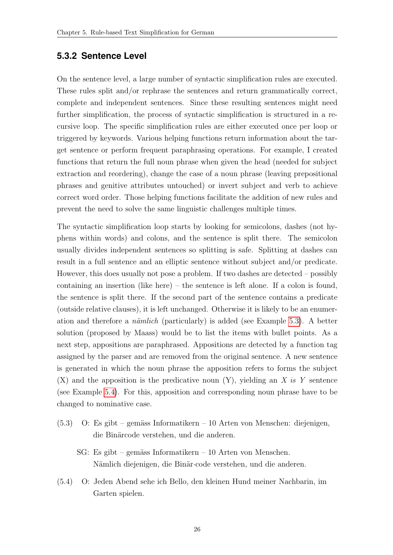### <span id="page-32-0"></span>**5.3.2 Sentence Level**

On the sentence level, a large number of syntactic simplification rules are executed. These rules split and/or rephrase the sentences and return grammatically correct, complete and independent sentences. Since these resulting sentences might need further simplification, the process of syntactic simplification is structured in a recursive loop. The specific simplification rules are either executed once per loop or triggered by keywords. Various helping functions return information about the target sentence or perform frequent paraphrasing operations. For example, I created functions that return the full noun phrase when given the head (needed for subject extraction and reordering), change the case of a noun phrase (leaving prepositional phrases and genitive attributes untouched) or invert subject and verb to achieve correct word order. Those helping functions facilitate the addition of new rules and prevent the need to solve the same linguistic challenges multiple times.

The syntactic simplification loop starts by looking for semicolons, dashes (not hyphens within words) and colons, and the sentence is split there. The semicolon usually divides independent sentences so splitting is safe. Splitting at dashes can result in a full sentence and an elliptic sentence without subject and/or predicate. However, this does usually not pose a problem. If two dashes are detected – possibly containing an insertion (like here) – the sentence is left alone. If a colon is found, the sentence is split there. If the second part of the sentence contains a predicate (outside relative clauses), it is left unchanged. Otherwise it is likely to be an enumeration and therefore a *nämlich* (particularly) is added (see Example [5.3\)](#page-32-1). A better solution (proposed by Maass) would be to list the items with bullet points. As a next step, appositions are paraphrased. Appositions are detected by a function tag assigned by the parser and are removed from the original sentence. A new sentence is generated in which the noun phrase the apposition refers to forms the subject  $(X)$  and the apposition is the predicative noun  $(Y)$ , yielding an X is Y sentence (see Example [5.4\)](#page-32-2). For this, apposition and corresponding noun phrase have to be changed to nominative case.

- <span id="page-32-1"></span> $(5.3)$  O: Es gibt – gemäss Informatikern – 10 Arten von Menschen: diejenigen, die Binärcode verstehen, und die anderen.
	- $SG:$  Es gibt gemäss Informatikern 10 Arten von Menschen. Nämlich diejenigen, die Binär·code verstehen, und die anderen.
- <span id="page-32-2"></span>(5.4) O: Jeden Abend sehe ich Bello, den kleinen Hund meiner Nachbarin, im Garten spielen.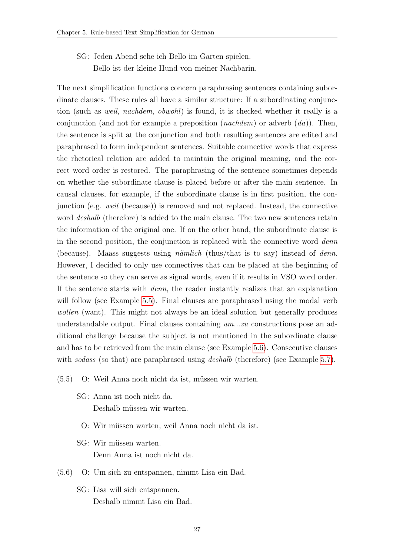SG: Jeden Abend sehe ich Bello im Garten spielen. Bello ist der kleine Hund von meiner Nachbarin.

The next simplification functions concern paraphrasing sentences containing subordinate clauses. These rules all have a similar structure: If a subordinating conjunction (such as weil, nachdem, obwohl) is found, it is checked whether it really is a conjunction (and not for example a preposition (*nachdem*) or adverb  $(da)$ ). Then, the sentence is split at the conjunction and both resulting sentences are edited and paraphrased to form independent sentences. Suitable connective words that express the rhetorical relation are added to maintain the original meaning, and the correct word order is restored. The paraphrasing of the sentence sometimes depends on whether the subordinate clause is placed before or after the main sentence. In causal clauses, for example, if the subordinate clause is in first position, the conjunction (e.g. weil (because)) is removed and not replaced. Instead, the connective word *deshalb* (therefore) is added to the main clause. The two new sentences retain the information of the original one. If on the other hand, the subordinate clause is in the second position, the conjunction is replaced with the connective word denn (because). Maass suggests using *nämlich* (thus/that is to say) instead of *denn*. However, I decided to only use connectives that can be placed at the beginning of the sentence so they can serve as signal words, even if it results in VSO word order. If the sentence starts with denn, the reader instantly realizes that an explanation will follow (see Example [5.5\)](#page-33-0). Final clauses are paraphrased using the modal verb wollen (want). This might not always be an ideal solution but generally produces understandable output. Final clauses containing  $um...zu$  constructions pose an additional challenge because the subject is not mentioned in the subordinate clause and has to be retrieved from the main clause (see Example [5.6\)](#page-33-1). Consecutive clauses with sodass (so that) are paraphrased using deshalb (therefore) (see Example [5.7\)](#page-34-0).

- <span id="page-33-0"></span> $(5.5)$  O: Weil Anna noch nicht da ist, müssen wir warten.
	- SG: Anna ist noch nicht da. Deshalb müssen wir warten.
		- O: Wir müssen warten, weil Anna noch nicht da ist.
	- SG: Wir müssen warten. Denn Anna ist noch nicht da.
- <span id="page-33-1"></span>(5.6) O: Um sich zu entspannen, nimmt Lisa ein Bad.
	- SG: Lisa will sich entspannen. Deshalb nimmt Lisa ein Bad.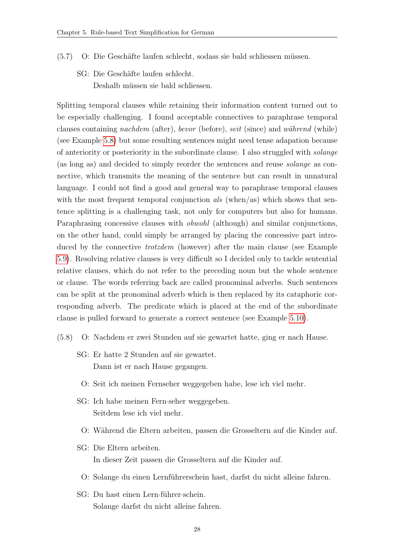- <span id="page-34-0"></span>(5.7) O: Die Geschäfte laufen schlecht, sodass sie bald schliessen müssen.
	- SG: Die Geschäfte laufen schlecht. Deshalb müssen sie bald schliessen.

Splitting temporal clauses while retaining their information content turned out to be especially challenging. I found acceptable connectives to paraphrase temporal clauses containing nachdem (after), bevor (before), seit (since) and während (while) (see Example [5.8\)](#page-34-1) but some resulting sentences might need tense adapation because of anteriority or posteriority in the subordinate clause. I also struggled with solange (as long as) and decided to simply reorder the sentences and reuse solange as connective, which transmits the meaning of the sentence but can result in unnatural language. I could not find a good and general way to paraphrase temporal clauses with the most frequent temporal conjunction  $als$  (when/as) which shows that sentence splitting is a challenging task, not only for computers but also for humans. Paraphrasing concessive clauses with obwohl (although) and similar conjunctions, on the other hand, could simply be arranged by placing the concessive part introduced by the connective trotzdem (however) after the main clause (see Example [5.9\)](#page-35-0). Resolving relative clauses is very difficult so I decided only to tackle sentential relative clauses, which do not refer to the preceding noun but the whole sentence or clause. The words referring back are called pronominal adverbs. Such sentences can be split at the pronominal adverb which is then replaced by its cataphoric corresponding adverb. The predicate which is placed at the end of the subordinate clause is pulled forward to generate a correct sentence (see Example [5.10\)](#page-35-1).

- <span id="page-34-1"></span>(5.8) O: Nachdem er zwei Stunden auf sie gewartet hatte, ging er nach Hause.
	- SG: Er hatte 2 Stunden auf sie gewartet. Dann ist er nach Hause gegangen.
		- O: Seit ich meinen Fernseher weggegeben habe, lese ich viel mehr.
	- SG: Ich habe meinen Fern·seher weggegeben. Seitdem lese ich viel mehr.
		- O: W¨ahrend die Eltern arbeiten, passen die Grosseltern auf die Kinder auf.
	- SG: Die Eltern arbeiten. In dieser Zeit passen die Grosseltern auf die Kinder auf.
		- O: Solange du einen Lernführerschein hast, darfst du nicht alleine fahren.
	- SG: Du hast einen Lern-führer-schein. Solange darfst du nicht alleine fahren.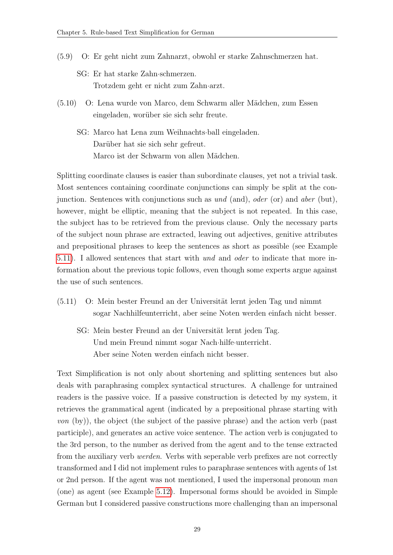- <span id="page-35-0"></span>(5.9) O: Er geht nicht zum Zahnarzt, obwohl er starke Zahnschmerzen hat.
	- SG: Er hat starke Zahn·schmerzen. Trotzdem geht er nicht zum Zahn·arzt.
- <span id="page-35-1"></span>(5.10) O: Lena wurde von Marco, dem Schwarm aller M¨adchen, zum Essen eingeladen, worüber sie sich sehr freute.
	- SG: Marco hat Lena zum Weihnachts·ball eingeladen. Darüber hat sie sich sehr gefreut. Marco ist der Schwarm von allen Mädchen.

Splitting coordinate clauses is easier than subordinate clauses, yet not a trivial task. Most sentences containing coordinate conjunctions can simply be split at the conjunction. Sentences with conjunctions such as  $und$  (and), *oder* (or) and *aber* (but), however, might be elliptic, meaning that the subject is not repeated. In this case, the subject has to be retrieved from the previous clause. Only the necessary parts of the subject noun phrase are extracted, leaving out adjectives, genitive attributes and prepositional phrases to keep the sentences as short as possible (see Example [5.11\)](#page-35-2). I allowed sentences that start with und and oder to indicate that more information about the previous topic follows, even though some experts argue against the use of such sentences.

- <span id="page-35-2"></span>(5.11) O: Mein bester Freund an der Universität lernt jeden Tag und nimmt sogar Nachhilfeunterricht, aber seine Noten werden einfach nicht besser.
	- SG: Mein bester Freund an der Universität lernt jeden Tag. Und mein Freund nimmt sogar Nach·hilfe·unterricht. Aber seine Noten werden einfach nicht besser.

Text Simplification is not only about shortening and splitting sentences but also deals with paraphrasing complex syntactical structures. A challenge for untrained readers is the passive voice. If a passive construction is detected by my system, it retrieves the grammatical agent (indicated by a prepositional phrase starting with von (by)), the object (the subject of the passive phrase) and the action verb (past participle), and generates an active voice sentence. The action verb is conjugated to the 3rd person, to the number as derived from the agent and to the tense extracted from the auxiliary verb werden. Verbs with seperable verb prefixes are not correctly transformed and I did not implement rules to paraphrase sentences with agents of 1st or 2nd person. If the agent was not mentioned, I used the impersonal pronoun man (one) as agent (see Example [5.12\)](#page-36-0). Impersonal forms should be avoided in Simple German but I considered passive constructions more challenging than an impersonal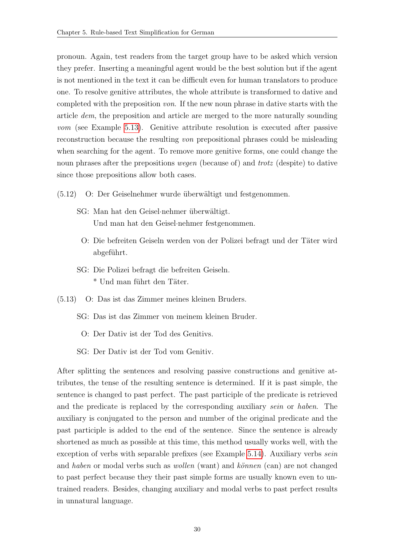pronoun. Again, test readers from the target group have to be asked which version they prefer. Inserting a meaningful agent would be the best solution but if the agent is not mentioned in the text it can be difficult even for human translators to produce one. To resolve genitive attributes, the whole attribute is transformed to dative and completed with the preposition von. If the new noun phrase in dative starts with the article dem, the preposition and article are merged to the more naturally sounding vom (see Example [5.13\)](#page-36-1). Genitive attribute resolution is executed after passive reconstruction because the resulting von prepositional phrases could be misleading when searching for the agent. To remove more genitive forms, one could change the noun phrases after the prepositions *wegen* (because of) and *trotz* (despite) to dative since those prepositions allow both cases.

- <span id="page-36-0"></span>(5.12) O: Der Geiselnehmer wurde ¨uberw¨altigt und festgenommen.
	- SG: Man hat den Geisel-nehmer überwältigt. Und man hat den Geisel·nehmer festgenommen.
		- O: Die befreiten Geiseln werden von der Polizei befragt und der Täter wird abgeführt.
	- SG: Die Polizei befragt die befreiten Geiseln. \* Und man führt den Täter.
- <span id="page-36-1"></span>(5.13) O: Das ist das Zimmer meines kleinen Bruders.
	- SG: Das ist das Zimmer von meinem kleinen Bruder.
		- O: Der Dativ ist der Tod des Genitivs.
	- SG: Der Dativ ist der Tod vom Genitiv.

<span id="page-36-2"></span>After splitting the sentences and resolving passive constructions and genitive attributes, the tense of the resulting sentence is determined. If it is past simple, the sentence is changed to past perfect. The past participle of the predicate is retrieved and the predicate is replaced by the corresponding auxiliary sein or haben. The auxiliary is conjugated to the person and number of the original predicate and the past participle is added to the end of the sentence. Since the sentence is already shortened as much as possible at this time, this method usually works well, with the exception of verbs with separable prefixes (see Example [5.14\)](#page-36-2). Auxiliary verbs *sein* and haben or modal verbs such as wollen (want) and können (can) are not changed to past perfect because they their past simple forms are usually known even to untrained readers. Besides, changing auxiliary and modal verbs to past perfect results in unnatural language.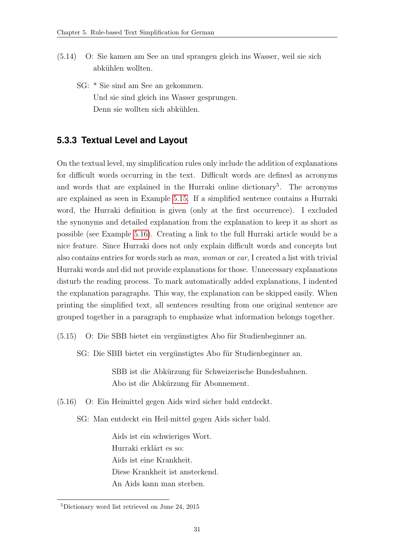- (5.14) O: Sie kamen am See an und sprangen gleich ins Wasser, weil sie sich abkühlen wollten.
	- SG: \* Sie sind am See an gekommen. Und sie sind gleich ins Wasser gesprungen. Denn sie wollten sich abkühlen.

### <span id="page-37-0"></span>**5.3.3 Textual Level and Layout**

On the textual level, my simplification rules only include the addition of explanations for difficult words occurring in the text. Difficult words are defined as acronyms and words that are explained in the Hurraki online dictionary<sup>5</sup>. The acronyms are explained as seen in Example [5.15.](#page-37-1) If a simplified sentence contains a Hurraki word, the Hurraki definition is given (only at the first occurrence). I excluded the synonyms and detailed explanation from the explanation to keep it as short as possible (see Example [5.16\)](#page-37-2). Creating a link to the full Hurraki article would be a nice feature. Since Hurraki does not only explain difficult words and concepts but also contains entries for words such as man, woman or car, I created a list with trivial Hurraki words and did not provide explanations for those. Unnecessary explanations disturb the reading process. To mark automatically added explanations, I indented the explanation paragraphs. This way, the explanation can be skipped easily. When printing the simplified text, all sentences resulting from one original sentence are grouped together in a paragraph to emphasize what information belongs together.

<span id="page-37-1"></span>(5.15) O: Die SBB bietet ein vergünstigtes Abo für Studienbeginner an.

SG: Die SBB bietet ein vergünstigtes Abo für Studienbeginner an.

SBB ist die Abkürzung für Schweizerische Bundesbahnen. Abo ist die Abkürzung für Abonnement.

<span id="page-37-2"></span>(5.16) O: Ein Heimittel gegen Aids wird sicher bald entdeckt.

SG: Man entdeckt ein Heil·mittel gegen Aids sicher bald.

Aids ist ein schwieriges Wort. Hurraki erklärt es so: Aids ist eine Krankheit. Diese Krankheit ist ansteckend. An Aids kann man sterben.

<sup>5</sup>Dictionary word list retrieved on June 24, 2015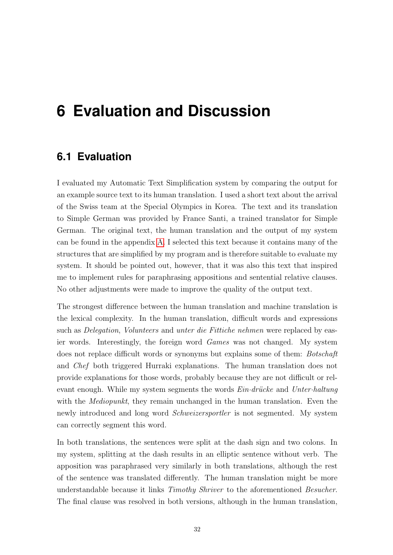# <span id="page-38-0"></span>**6 Evaluation and Discussion**

## <span id="page-38-1"></span>**6.1 Evaluation**

I evaluated my Automatic Text Simplification system by comparing the output for an example source text to its human translation. I used a short text about the arrival of the Swiss team at the Special Olympics in Korea. The text and its translation to Simple German was provided by France Santi, a trained translator for Simple German. The original text, the human translation and the output of my system can be found in the appendix [A.](#page-47-0) I selected this text because it contains many of the structures that are simplified by my program and is therefore suitable to evaluate my system. It should be pointed out, however, that it was also this text that inspired me to implement rules for paraphrasing appositions and sentential relative clauses. No other adjustments were made to improve the quality of the output text.

The strongest difference between the human translation and machine translation is the lexical complexity. In the human translation, difficult words and expressions such as Delegation, Volunteers and unter die Fittiche nehmen were replaced by easier words. Interestingly, the foreign word Games was not changed. My system does not replace difficult words or synonyms but explains some of them: Botschaft and Chef both triggered Hurraki explanations. The human translation does not provide explanations for those words, probably because they are not difficult or relevant enough. While my system segments the words  $Ein\cdotdrücke$  and Unter-haltung with the *Mediopunkt*, they remain unchanged in the human translation. Even the newly introduced and long word Schweizersportler is not segmented. My system can correctly segment this word.

In both translations, the sentences were split at the dash sign and two colons. In my system, splitting at the dash results in an elliptic sentence without verb. The apposition was paraphrased very similarly in both translations, although the rest of the sentence was translated differently. The human translation might be more understandable because it links Timothy Shriver to the aforementioned Besucher. The final clause was resolved in both versions, although in the human translation,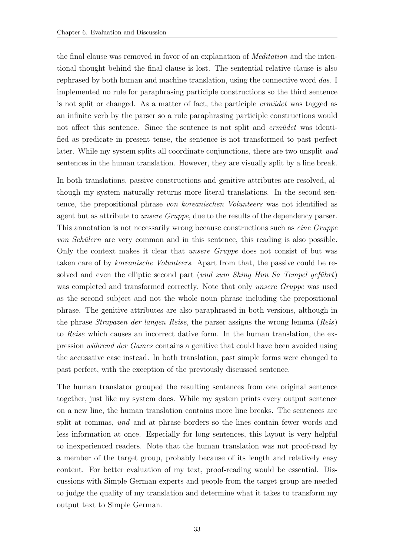the final clause was removed in favor of an explanation of Meditation and the intentional thought behind the final clause is lost. The sentential relative clause is also rephrased by both human and machine translation, using the connective word das. I implemented no rule for paraphrasing participle constructions so the third sentence is not split or changed. As a matter of fact, the participle *ermüdet* was tagged as an infinite verb by the parser so a rule paraphrasing participle constructions would not affect this sentence. Since the sentence is not split and *ermüdet* was identified as predicate in present tense, the sentence is not transformed to past perfect later. While my system splits all coordinate conjunctions, there are two unsplit und sentences in the human translation. However, they are visually split by a line break.

In both translations, passive constructions and genitive attributes are resolved, although my system naturally returns more literal translations. In the second sentence, the prepositional phrase von koreanischen Volunteers was not identified as agent but as attribute to unsere Gruppe, due to the results of the dependency parser. This annotation is not necessarily wrong because constructions such as eine Gruppe von Schülern are very common and in this sentence, this reading is also possible. Only the context makes it clear that unsere Gruppe does not consist of but was taken care of by koreanische Volunteers. Apart from that, the passive could be resolved and even the elliptic second part (und zum Shing Hun Sa Tempel geführt) was completed and transformed correctly. Note that only unsere Gruppe was used as the second subject and not the whole noun phrase including the prepositional phrase. The genitive attributes are also paraphrased in both versions, although in the phrase Strapazen der langen Reise, the parser assigns the wrong lemma (Reis) to Reise which causes an incorrect dative form. In the human translation, the expression während der Games contains a genitive that could have been avoided using the accusative case instead. In both translation, past simple forms were changed to past perfect, with the exception of the previously discussed sentence.

The human translator grouped the resulting sentences from one original sentence together, just like my system does. While my system prints every output sentence on a new line, the human translation contains more line breaks. The sentences are split at commas, *und* and at phrase borders so the lines contain fewer words and less information at once. Especially for long sentences, this layout is very helpful to inexperienced readers. Note that the human translation was not proof-read by a member of the target group, probably because of its length and relatively easy content. For better evaluation of my text, proof-reading would be essential. Discussions with Simple German experts and people from the target group are needed to judge the quality of my translation and determine what it takes to transform my output text to Simple German.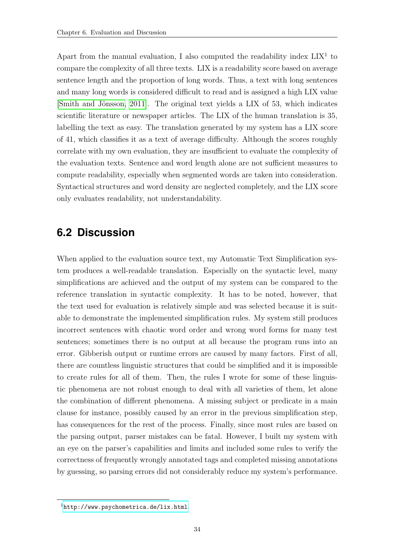Apart from the manual evaluation, I also computed the readability index  $LIX<sup>1</sup>$  to compare the complexity of all three texts. LIX is a readability score based on average sentence length and the proportion of long words. Thus, a text with long sentences and many long words is considered difficult to read and is assigned a high LIX value [Smith and Jönsson, 2011]. The original text yields a LIX of 53, which indicates scientific literature or newspaper articles. The LIX of the human translation is 35, labelling the text as easy. The translation generated by my system has a LIX score of 41, which classifies it as a text of average difficulty. Although the scores roughly correlate with my own evaluation, they are insufficient to evaluate the complexity of the evaluation texts. Sentence and word length alone are not sufficient measures to compute readability, especially when segmented words are taken into consideration. Syntactical structures and word density are neglected completely, and the LIX score only evaluates readability, not understandability.

## <span id="page-40-0"></span>**6.2 Discussion**

When applied to the evaluation source text, my Automatic Text Simplification system produces a well-readable translation. Especially on the syntactic level, many simplifications are achieved and the output of my system can be compared to the reference translation in syntactic complexity. It has to be noted, however, that the text used for evaluation is relatively simple and was selected because it is suitable to demonstrate the implemented simplification rules. My system still produces incorrect sentences with chaotic word order and wrong word forms for many test sentences; sometimes there is no output at all because the program runs into an error. Gibberish output or runtime errors are caused by many factors. First of all, there are countless linguistic structures that could be simplified and it is impossible to create rules for all of them. Then, the rules I wrote for some of these linguistic phenomena are not robust enough to deal with all varieties of them, let alone the combination of different phenomena. A missing subject or predicate in a main clause for instance, possibly caused by an error in the previous simplification step, has consequences for the rest of the process. Finally, since most rules are based on the parsing output, parser mistakes can be fatal. However, I built my system with an eye on the parser's capabilities and limits and included some rules to verify the correctness of frequently wrongly annotated tags and completed missing annotations by guessing, so parsing errors did not considerably reduce my system's performance.

 $1$ <http://www.psychometrica.de/lix.html>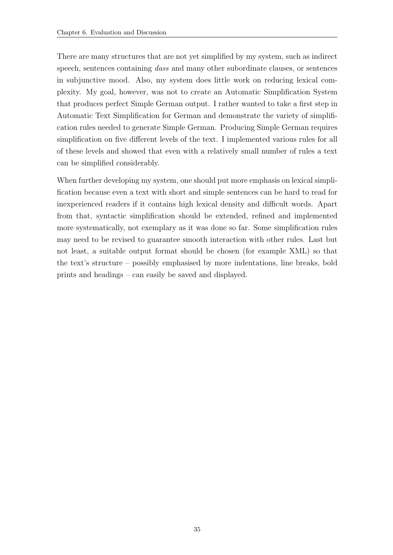There are many structures that are not yet simplified by my system, such as indirect speech, sentences containing dass and many other subordinate clauses, or sentences in subjunctive mood. Also, my system does little work on reducing lexical complexity. My goal, however, was not to create an Automatic Simplification System that produces perfect Simple German output. I rather wanted to take a first step in Automatic Text Simplification for German and demonstrate the variety of simplification rules needed to generate Simple German. Producing Simple German requires simplification on five different levels of the text. I implemented various rules for all of these levels and showed that even with a relatively small number of rules a text can be simplified considerably.

When further developing my system, one should put more emphasis on lexical simplification because even a text with short and simple sentences can be hard to read for inexperienced readers if it contains high lexical density and difficult words. Apart from that, syntactic simplification should be extended, refined and implemented more systematically, not exemplary as it was done so far. Some simplification rules may need to be revised to guarantee smooth interaction with other rules. Last but not least, a suitable output format should be chosen (for example XML) so that the text's structure – possibly emphasised by more indentations, line breaks, bold prints and headings – can easily be saved and displayed.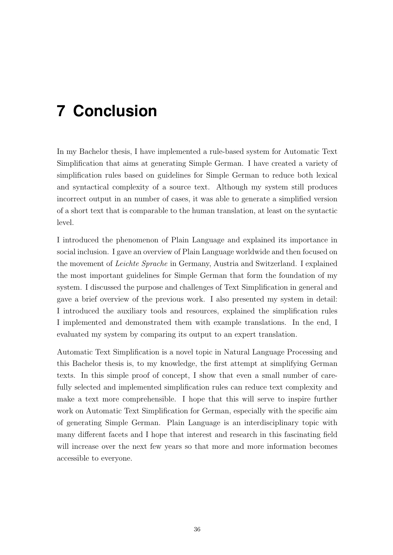# <span id="page-42-0"></span>**7 Conclusion**

In my Bachelor thesis, I have implemented a rule-based system for Automatic Text Simplification that aims at generating Simple German. I have created a variety of simplification rules based on guidelines for Simple German to reduce both lexical and syntactical complexity of a source text. Although my system still produces incorrect output in an number of cases, it was able to generate a simplified version of a short text that is comparable to the human translation, at least on the syntactic level.

I introduced the phenomenon of Plain Language and explained its importance in social inclusion. I gave an overview of Plain Language worldwide and then focused on the movement of Leichte Sprache in Germany, Austria and Switzerland. I explained the most important guidelines for Simple German that form the foundation of my system. I discussed the purpose and challenges of Text Simplification in general and gave a brief overview of the previous work. I also presented my system in detail: I introduced the auxiliary tools and resources, explained the simplification rules I implemented and demonstrated them with example translations. In the end, I evaluated my system by comparing its output to an expert translation.

Automatic Text Simplification is a novel topic in Natural Language Processing and this Bachelor thesis is, to my knowledge, the first attempt at simplifying German texts. In this simple proof of concept, I show that even a small number of carefully selected and implemented simplification rules can reduce text complexity and make a text more comprehensible. I hope that this will serve to inspire further work on Automatic Text Simplification for German, especially with the specific aim of generating Simple German. Plain Language is an interdisciplinary topic with many different facets and I hope that interest and research in this fascinating field will increase over the next few years so that more and more information becomes accessible to everyone.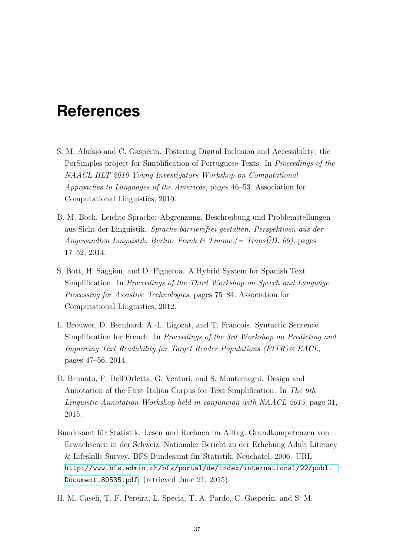# <span id="page-43-0"></span>**References**

- <span id="page-43-4"></span>S. M. Aluísio and C. Gasperin. Fostering Digital Inclusion and Accessibility: the PorSimples project for Simplification of Portuguese Texts. In Proceedings of the NAACL HLT 2010 Young Investigators Workshop on Computational Approaches to Languages of the Americas, pages 46–53. Association for Computational Linguistics, 2010.
- <span id="page-43-1"></span>B. M. Bock. Leichte Sprache: Abgrenzung, Beschreibung und Problemstellungen aus Sicht der Linguistik. Sprache barrierefrei gestalten. Perspektiven aus der Angewandten Linguistik. Berlin: Frank & Timme.  $(= TransUD. 69)$ , pages 17–52, 2014.
- <span id="page-43-7"></span>S. Bott, H. Saggion, and D. Figueroa. A Hybrid System for Spanish Text Simplification. In Proceedings of the Third Workshop on Speech and Language Processing for Assistive Technologies, pages 75–84. Association for Computational Linguistics, 2012.
- <span id="page-43-3"></span>L. Brouwer, D. Bernhard, A.-L. Ligozat, and T. Francois. Syntactic Sentence Simplification for French. In Proceedings of the 3rd Workshop on Predicting and Improving Text Readability for Target Reader Populations (PITR)@ EACL, pages 47–56, 2014.
- <span id="page-43-6"></span>D. Brunato, F. Dell'Orletta, G. Venturi, and S. Montemagni. Design and Annotation of the First Italian Corpus for Text Simplification. In The 9th Linguistic Annotation Workshop held in conjuncion with NAACL 2015, page 31, 2015.
- <span id="page-43-2"></span>Bundesamt für Statistik. Lesen und Rechnen im Alltag. Grundkompetenzen von Erwachsenen in der Schweiz. Nationaler Bericht zu der Erhebung Adult Literacy & Lifeskills Survey. BFS Bundesamt für Statistik, Neuchatel, 2006. URL [http://www.bfs.admin.ch/bfs/portal/de/index/international/22/publ.](http://www.bfs.admin.ch/bfs/portal/de/ index/international/22/publ.Document .80535.pdf) [Document.80535.pdf](http://www.bfs.admin.ch/bfs/portal/de/ index/international/22/publ.Document .80535.pdf). (retrieved June 21, 2015).
- <span id="page-43-5"></span>H. M. Caseli, T. F. Pereira, L. Specia, T. A. Pardo, C. Gasperin, and S. M.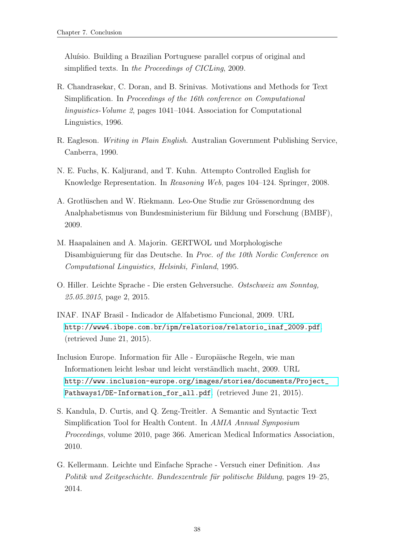Aluísio. Building a Brazilian Portuguese parallel corpus of original and simplified texts. In the Proceedings of CICLing, 2009.

- <span id="page-44-7"></span>R. Chandrasekar, C. Doran, and B. Srinivas. Motivations and Methods for Text Simplification. In Proceedings of the 16th conference on Computational linguistics-Volume 2, pages 1041–1044. Association for Computational Linguistics, 1996.
- <span id="page-44-1"></span>R. Eagleson. Writing in Plain English. Australian Government Publishing Service, Canberra, 1990.
- <span id="page-44-2"></span>N. E. Fuchs, K. Kaljurand, and T. Kuhn. Attempto Controlled English for Knowledge Representation. In Reasoning Web, pages 104–124. Springer, 2008.
- <span id="page-44-3"></span>A. Grotlüschen and W. Riekmann. Leo-One Studie zur Grössenordnung des Analphabetismus von Bundesministerium für Bildung und Forschung (BMBF), 2009.
- <span id="page-44-9"></span>M. Haapalainen and A. Majorin. GERTWOL und Morphologische Disambiguierung für das Deutsche. In Proc. of the 10th Nordic Conference on Computational Linguistics, Helsinki, Finland, 1995.
- <span id="page-44-5"></span>O. Hiller. Leichte Sprache - Die ersten Gehversuche. Ostschweiz am Sonntag, 25.05.2015, page 2, 2015.
- <span id="page-44-4"></span>INAF. INAF Brasil - Indicador de Alfabetismo Funcional, 2009. URL [http://www4.ibope.com.br/ipm/relatorios/relatorio\\_inaf\\_2009.pdf](http://www4.ibope.com.br/ipm/relatorios/relatorio_inaf_2009.pdf). (retrieved June 21, 2015).
- <span id="page-44-6"></span>Inclusion Europe. Information für Alle - Europäische Regeln, wie man Informationen leicht lesbar und leicht verständlich macht, 2009. URL [http://www.inclusion-europe.org/images/stories/documents/Project\\_](http://www.inclusion-europe.org/images/stories/documents/Project_Pathways1/DE-Information_for_all.pdf) [Pathways1/DE-Information\\_for\\_all.pdf](http://www.inclusion-europe.org/images/stories/documents/Project_Pathways1/DE-Information_for_all.pdf). (retrieved June 21, 2015).
- <span id="page-44-8"></span>S. Kandula, D. Curtis, and Q. Zeng-Treitler. A Semantic and Syntactic Text Simplification Tool for Health Content. In AMIA Annual Symposium Proceedings, volume 2010, page 366. American Medical Informatics Association, 2010.
- <span id="page-44-0"></span>G. Kellermann. Leichte und Einfache Sprache - Versuch einer Definition. Aus Politik und Zeitgeschichte. Bundeszentrale für politische Bildung, pages 19–25, 2014.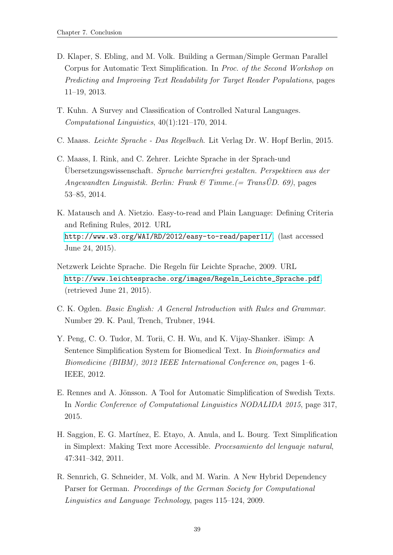- <span id="page-45-4"></span>D. Klaper, S. Ebling, and M. Volk. Building a German/Simple German Parallel Corpus for Automatic Text Simplification. In Proc. of the Second Workshop on Predicting and Improving Text Readability for Target Reader Populations, pages 11–19, 2013.
- <span id="page-45-3"></span>T. Kuhn. A Survey and Classification of Controlled Natural Languages. Computational Linguistics, 40(1):121–170, 2014.
- <span id="page-45-5"></span>C. Maass. Leichte Sprache - Das Regelbuch. Lit Verlag Dr. W. Hopf Berlin, 2015.
- <span id="page-45-1"></span>C. Maass, I. Rink, and C. Zehrer. Leichte Sprache in der Sprach-und Ubersetzungswissenschaft. Sprache barrierefrei gestalten. Perspektiven aus der Angewandten Linguistik. Berlin: Frank & Timme.  $(= TransUD. 69)$ , pages 53–85, 2014.
- <span id="page-45-9"></span>K. Matausch and A. Nietzio. Easy-to-read and Plain Language: Defining Criteria and Refining Rules, 2012. URL <http://www.w3.org/WAI/RD/2012/easy-to-read/paper11/>. (last accessed June 24, 2015).
- <span id="page-45-0"></span>Netzwerk Leichte Sprache. Die Regeln für Leichte Sprache, 2009. URL [http://www.leichtesprache.org/images/Regeln\\_Leichte\\_Sprache.pdf](http://www.leichtesprache.org/images/Regeln_Leichte_Sprache.pdf). (retrieved June 21, 2015).
- <span id="page-45-2"></span>C. K. Ogden. Basic English: A General Introduction with Rules and Grammar. Number 29. K. Paul, Trench, Trubner, 1944.
- <span id="page-45-6"></span>Y. Peng, C. O. Tudor, M. Torii, C. H. Wu, and K. Vijay-Shanker. iSimp: A Sentence Simplification System for Biomedical Text. In Bioinformatics and Biomedicine (BIBM), 2012 IEEE International Conference on, pages 1–6. IEEE, 2012.
- <span id="page-45-8"></span>E. Rennes and A. Jönsson. A Tool for Automatic Simplification of Swedish Texts. In Nordic Conference of Computational Linguistics NODALIDA 2015, page 317, 2015.
- <span id="page-45-7"></span>H. Saggion, E. G. Mart´ınez, E. Etayo, A. Anula, and L. Bourg. Text Simplification in Simplext: Making Text more Accessible. Procesamiento del lenguaje natural, 47:341–342, 2011.
- <span id="page-45-10"></span>R. Sennrich, G. Schneider, M. Volk, and M. Warin. A New Hybrid Dependency Parser for German. Proceedings of the German Society for Computational Linguistics and Language Technology, pages 115–124, 2009.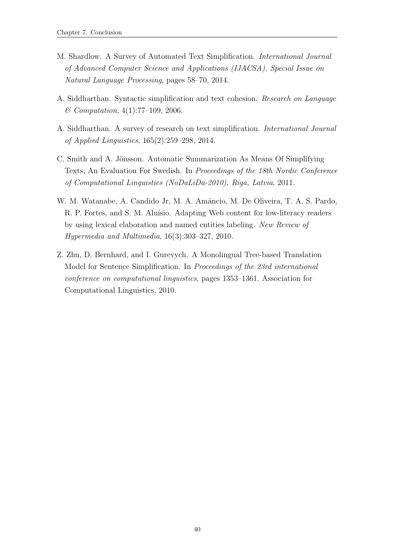- <span id="page-46-1"></span>M. Shardlow. A Survey of Automated Text Simplification. International Journal of Advanced Computer Science and Applications (IJACSA), Special Issue on Natural Language Processing, pages 58–70, 2014.
- <span id="page-46-0"></span>A. Siddharthan. Syntactic simplification and text cohesion. Research on Language  $& Computation, 4(1): 77-109, 2006.$
- <span id="page-46-3"></span>A. Siddharthan. A survey of research on text simplification. International Journal of Applied Linguistics, 165(2):259–298, 2014.
- <span id="page-46-5"></span>C. Smith and A. Jönsson. Automatic Summarization As Means Of Simplifying Texts, An Evaluation For Swedish. In Proceedings of the 18th Nordic Conference of Computational Linguistics (NoDaLiDa-2010), Riga, Latvia, 2011.
- <span id="page-46-4"></span>W. M. Watanabe, A. Candido Jr, M. A. Amâncio, M. De Oliveira, T. A. S. Pardo, R. P. Fortes, and S. M. Aluísio. Adapting Web content for low-literacy readers by using lexical elaboration and named entities labeling. New Review of Hypermedia and Multimedia, 16(3):303–327, 2010.
- <span id="page-46-2"></span>Z. Zhu, D. Bernhard, and I. Gurevych. A Monolingual Tree-based Translation Model for Sentence Simplification. In Proceedings of the 23rd international conference on computational linguistics, pages 1353–1361. Association for Computational Linguistics, 2010.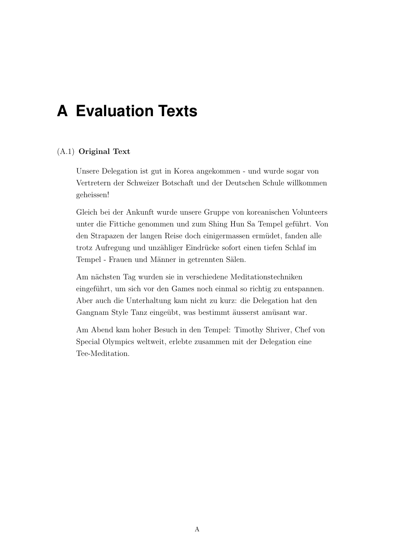# <span id="page-47-0"></span>**A Evaluation Texts**

### (A.1) Original Text

Unsere Delegation ist gut in Korea angekommen - und wurde sogar von Vertretern der Schweizer Botschaft und der Deutschen Schule willkommen geheissen!

Gleich bei der Ankunft wurde unsere Gruppe von koreanischen Volunteers unter die Fittiche genommen und zum Shing Hun Sa Tempel geführt. Von den Strapazen der langen Reise doch einigermassen ermüdet, fanden alle trotz Aufregung und unzähliger Eindrücke sofort einen tiefen Schlaf im Tempel - Frauen und Männer in getrennten Sälen.

Am nächsten Tag wurden sie in verschiedene Meditationstechniken eingeführt, um sich vor den Games noch einmal so richtig zu entspannen. Aber auch die Unterhaltung kam nicht zu kurz: die Delegation hat den Gangnam Style Tanz eingeübt, was bestimmt äusserst amüsant war.

Am Abend kam hoher Besuch in den Tempel: Timothy Shriver, Chef von Special Olympics weltweit, erlebte zusammen mit der Delegation eine Tee-Meditation.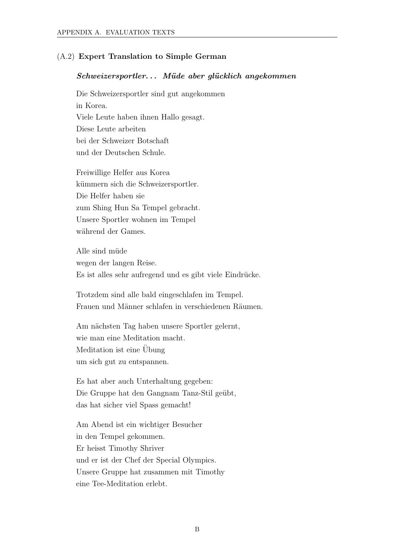### (A.2) Expert Translation to Simple German

#### $Schweizer sportler...$  Müde aber glücklich angekommen

Die Schweizersportler sind gut angekommen in Korea. Viele Leute haben ihnen Hallo gesagt. Diese Leute arbeiten bei der Schweizer Botschaft und der Deutschen Schule.

Freiwillige Helfer aus Korea kümmern sich die Schweizersportler. Die Helfer haben sie zum Shing Hun Sa Tempel gebracht. Unsere Sportler wohnen im Tempel während der Games.

Alle sind müde wegen der langen Reise. Es ist alles sehr aufregend und es gibt viele Eindrücke.

Trotzdem sind alle bald eingeschlafen im Tempel. Frauen und Männer schlafen in verschiedenen Räumen.

Am nächsten Tag haben unsere Sportler gelernt, wie man eine Meditation macht. Meditation ist eine Übung um sich gut zu entspannen.

Es hat aber auch Unterhaltung gegeben: Die Gruppe hat den Gangnam Tanz-Stil geübt, das hat sicher viel Spass gemacht!

Am Abend ist ein wichtiger Besucher in den Tempel gekommen. Er heisst Timothy Shriver und er ist der Chef der Special Olympics. Unsere Gruppe hat zusammen mit Timothy eine Tee-Meditation erlebt.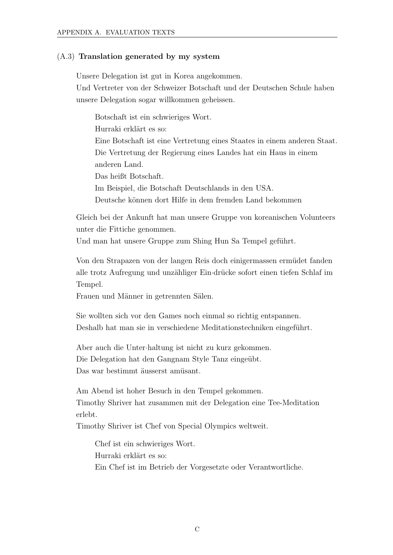### (A.3) Translation generated by my system

Unsere Delegation ist gut in Korea angekommen.

Und Vertreter von der Schweizer Botschaft und der Deutschen Schule haben unsere Delegation sogar willkommen geheissen.

Botschaft ist ein schwieriges Wort. Hurraki erklärt es so: Eine Botschaft ist eine Vertretung eines Staates in einem anderen Staat. Die Vertretung der Regierung eines Landes hat ein Haus in einem anderen Land. Das heißt Botschaft. Im Beispiel, die Botschaft Deutschlands in den USA. Deutsche können dort Hilfe in dem fremden Land bekommen

Gleich bei der Ankunft hat man unsere Gruppe von koreanischen Volunteers unter die Fittiche genommen.

Und man hat unsere Gruppe zum Shing Hun Sa Tempel geführt.

Von den Strapazen von der langen Reis doch einigermassen ermüdet fanden alle trotz Aufregung und unzähliger Ein·drücke sofort einen tiefen Schlaf im Tempel.

Frauen und Männer in getrennten Sälen.

Sie wollten sich vor den Games noch einmal so richtig entspannen. Deshalb hat man sie in verschiedene Meditationstechniken eingeführt.

Aber auch die Unter·haltung ist nicht zu kurz gekommen. Die Delegation hat den Gangnam Style Tanz eingeübt. Das war bestimmt äusserst amüsant.

Am Abend ist hoher Besuch in den Tempel gekommen. Timothy Shriver hat zusammen mit der Delegation eine Tee-Meditation erlebt.

Timothy Shriver ist Chef von Special Olympics weltweit.

Chef ist ein schwieriges Wort. Hurraki erklärt es so: Ein Chef ist im Betrieb der Vorgesetzte oder Verantwortliche.